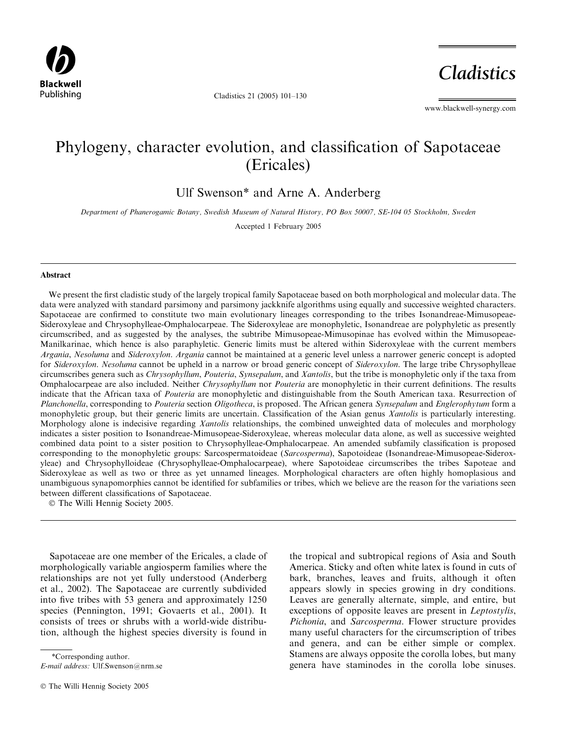

Cladistics 21 (2005) 101–130

Cladistics

www.blackwell-synergy.com

# Phylogeny, character evolution, and classification of Sapotaceae (Ericales)

Ulf Swenson\* and Arne A. Anderberg

Department of Phanerogamic Botany, Swedish Museum of Natural History, PO Box 50007, SE-104 05 Stockholm, Sweden

Accepted 1 February 2005

# Abstract

We present the first cladistic study of the largely tropical family Sapotaceae based on both morphological and molecular data. The data were analyzed with standard parsimony and parsimony jackknife algorithms using equally and successive weighted characters. Sapotaceae are confirmed to constitute two main evolutionary lineages corresponding to the tribes Isonandreae-Mimusopeae-Sideroxyleae and Chrysophylleae-Omphalocarpeae. The Sideroxyleae are monophyletic, Isonandreae are polyphyletic as presently circumscribed, and as suggested by the analyses, the subtribe Mimusopeae-Mimusopinae has evolved within the Mimusopeae-Manilkarinae, which hence is also paraphyletic. Generic limits must be altered within Sideroxyleae with the current members Argania, Nesoluma and Sideroxylon. Argania cannot be maintained at a generic level unless a narrower generic concept is adopted for Sideroxylon. Nesoluma cannot be upheld in a narrow or broad generic concept of Sideroxylon. The large tribe Chrysophylleae circumscribes genera such as Chrysophyllum, Pouteria, Synsepalum, and Xantolis, but the tribe is monophyletic only if the taxa from Omphalocarpeae are also included. Neither Chrysophyllum nor Pouteria are monophyletic in their current definitions. The results indicate that the African taxa of Pouteria are monophyletic and distinguishable from the South American taxa. Resurrection of Planchonella, corresponding to Pouteria section Oligotheca, is proposed. The African genera Synsepalum and Englerophytum form a monophyletic group, but their generic limits are uncertain. Classification of the Asian genus Xantolis is particularly interesting. Morphology alone is indecisive regarding *Xantolis* relationships, the combined unweighted data of molecules and morphology indicates a sister position to Isonandreae-Mimusopeae-Sideroxyleae, whereas molecular data alone, as well as successive weighted combined data point to a sister position to Chrysophylleae-Omphalocarpeae. An amended subfamily classification is proposed corresponding to the monophyletic groups: Sarcospermatoideae (Sarcosperma), Sapotoideae (Isonandreae-Mimusopeae-Sideroxyleae) and Chrysophylloideae (Chrysophylleae-Omphalocarpeae), where Sapotoideae circumscribes the tribes Sapoteae and Sideroxyleae as well as two or three as yet unnamed lineages. Morphological characters are often highly homoplasious and unambiguous synapomorphies cannot be identified for subfamilies or tribes, which we believe are the reason for the variations seen between different classifications of Sapotaceae.

The Willi Hennig Society 2005.

Sapotaceae are one member of the Ericales, a clade of morphologically variable angiosperm families where the relationships are not yet fully understood (Anderberg et al., 2002). The Sapotaceae are currently subdivided into five tribes with 53 genera and approximately 1250 species (Pennington, 1991; Govaerts et al., 2001). It consists of trees or shrubs with a world-wide distribution, although the highest species diversity is found in

\*Corresponding author. E-mail address: Ulf.Swenson@nrm.se the tropical and subtropical regions of Asia and South America. Sticky and often white latex is found in cuts of bark, branches, leaves and fruits, although it often appears slowly in species growing in dry conditions. Leaves are generally alternate, simple, and entire, but exceptions of opposite leaves are present in Leptostylis, Pichonia, and Sarcosperma. Flower structure provides many useful characters for the circumscription of tribes and genera, and can be either simple or complex. Stamens are always opposite the corolla lobes, but many genera have staminodes in the corolla lobe sinuses.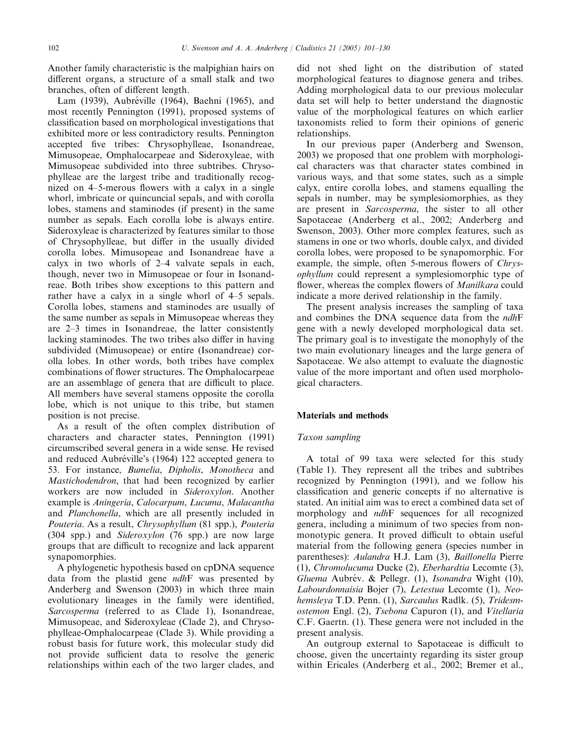Another family characteristic is the malpighian hairs on different organs, a structure of a small stalk and two branches, often of different length.

Lam (1939), Aubréville (1964), Baehni (1965), and most recently Pennington (1991), proposed systems of classification based on morphological investigations that exhibited more or less contradictory results. Pennington accepted five tribes: Chrysophylleae, Isonandreae, Mimusopeae, Omphalocarpeae and Sideroxyleae, with Mimusopeae subdivided into three subtribes. Chrysophylleae are the largest tribe and traditionally recognized on 4–5-merous flowers with a calyx in a single whorl, imbricate or quincuncial sepals, and with corolla lobes, stamens and staminodes (if present) in the same number as sepals. Each corolla lobe is always entire. Sideroxyleae is characterized by features similar to those of Chrysophylleae, but differ in the usually divided corolla lobes. Mimusopeae and Isonandreae have a calyx in two whorls of 2–4 valvate sepals in each, though, never two in Mimusopeae or four in Isonandreae. Both tribes show exceptions to this pattern and rather have a calyx in a single whorl of 4–5 sepals. Corolla lobes, stamens and staminodes are usually of the same number as sepals in Mimusopeae whereas they are 2–3 times in Isonandreae, the latter consistently lacking staminodes. The two tribes also differ in having subdivided (Mimusopeae) or entire (Isonandreae) corolla lobes. In other words, both tribes have complex combinations of flower structures. The Omphalocarpeae are an assemblage of genera that are difficult to place. All members have several stamens opposite the corolla lobe, which is not unique to this tribe, but stamen position is not precise.

As a result of the often complex distribution of characters and character states, Pennington (1991) circumscribed several genera in a wide sense. He revised and reduced Aubréville's (1964) 122 accepted genera to 53. For instance, Bumelia, Dipholis, Monotheca and Mastichodendron, that had been recognized by earlier workers are now included in Sideroxylon. Another example is Aningeria, Calocarpum, Lucuma, Malacantha and Planchonella, which are all presently included in Pouteria. As a result, Chrysophyllum (81 spp.), Pouteria (304 spp.) and Sideroxylon (76 spp.) are now large groups that are difficult to recognize and lack apparent synapomorphies.

A phylogenetic hypothesis based on cpDNA sequence data from the plastid gene ndhF was presented by Anderberg and Swenson (2003) in which three main evolutionary lineages in the family were identified, Sarcosperma (referred to as Clade 1), Isonandreae, Mimusopeae, and Sideroxyleae (Clade 2), and Chrysophylleae-Omphalocarpeae (Clade 3). While providing a robust basis for future work, this molecular study did not provide sufficient data to resolve the generic relationships within each of the two larger clades, and did not shed light on the distribution of stated morphological features to diagnose genera and tribes. Adding morphological data to our previous molecular data set will help to better understand the diagnostic value of the morphological features on which earlier taxonomists relied to form their opinions of generic relationships.

In our previous paper (Anderberg and Swenson, 2003) we proposed that one problem with morphological characters was that character states combined in various ways, and that some states, such as a simple calyx, entire corolla lobes, and stamens equalling the sepals in number, may be symplesiomorphies, as they are present in Sarcosperma, the sister to all other Sapotaceae (Anderberg et al., 2002; Anderberg and Swenson, 2003). Other more complex features, such as stamens in one or two whorls, double calyx, and divided corolla lobes, were proposed to be synapomorphic. For example, the simple, often 5-merous flowers of Chrysophyllum could represent a symplesiomorphic type of flower, whereas the complex flowers of *Manilkara* could indicate a more derived relationship in the family.

The present analysis increases the sampling of taxa and combines the DNA sequence data from the ndhF gene with a newly developed morphological data set. The primary goal is to investigate the monophyly of the two main evolutionary lineages and the large genera of Sapotaceae. We also attempt to evaluate the diagnostic value of the more important and often used morphological characters.

# Materials and methods

#### Taxon sampling

A total of 99 taxa were selected for this study (Table 1). They represent all the tribes and subtribes recognized by Pennington (1991), and we follow his classification and generic concepts if no alternative is stated. An initial aim was to erect a combined data set of morphology and ndhF sequences for all recognized genera, including a minimum of two species from nonmonotypic genera. It proved difficult to obtain useful material from the following genera (species number in parentheses): Aulandra H.J. Lam (3), Baillonella Pierre (1), Chromolucuma Ducke (2), Eberhardtia Lecomte (3), Gluema Aubrév. & Pellegr. (1), Isonandra Wight (10), Labourdonnaisia Bojer (7), Letestua Lecomte (1), Neohemsleya T.D. Penn. (1), Sarcaulus Radlk. (5), Tridesmostemon Engl. (2), Tsebona Capuron (1), and Vitellaria C.F. Gaertn. (1). These genera were not included in the present analysis.

An outgroup external to Sapotaceae is difficult to choose, given the uncertainty regarding its sister group within Ericales (Anderberg et al., 2002; Bremer et al.,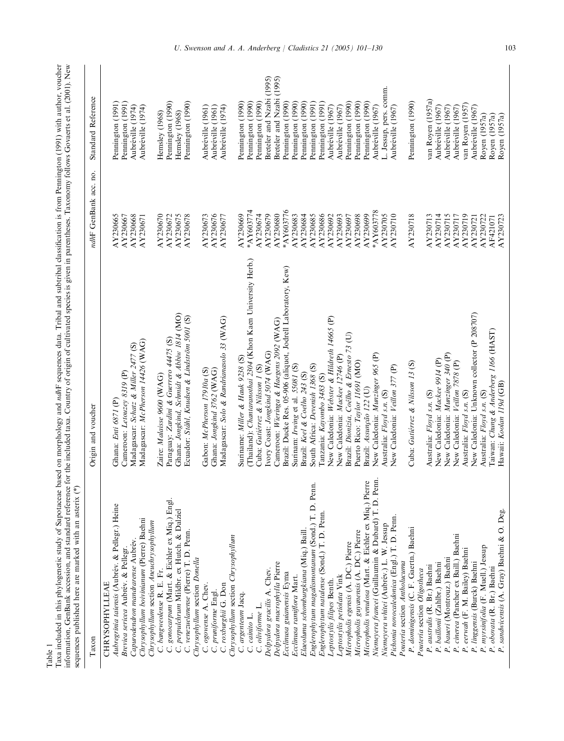Table 1<br>Taxa included in this phylogenetic study of Sapotaceae based on morphology and *ndl*F sequences data. Tribal and subtribal classification is from Pennington (1991) with author, voucher<br>information, GenBank accessio Taxa included in this phylogenetic study of Sapotaceae based on morphology and ndhF sequences data. Tribal and subtribal classification is from Pennington (1991) with author, voucher information, GenBank accession, and standard reference for the included taxa. Country of origin of cultivated species is given in parentheses. Taxonomy follows Govaerts et al. (2001). New sequences published here are marked with an asterix (\*)

| Taxon                                                 | Origin and voucher                                           | ndhF GenBank acc. no. | Standard Reference        |
|-------------------------------------------------------|--------------------------------------------------------------|-----------------------|---------------------------|
| CHRYSOPHYLLEAE                                        |                                                              |                       |                           |
|                                                       |                                                              | AY230665              |                           |
| Aubregrinia taiensis (Aubrév. & Pellegr.) Heine       | Ghana: Enti 6871 (P)                                         |                       | Pennington (1991)         |
| Breviea sericea Aubrév. & Pellegr.                    | Cameroon: Letouzey 8319 (P)                                  | AY230667              | Pennington (1991)         |
| Capurodendron mandrarense Aubrév.                     | Madagascar: Schatz & Miller 2477 (S)                         | AY230668              | Aubréville (1974)         |
| Chrysophyllum boivinianum (Pierre) Baehni             | Madagascar: McPherson 14426 (WAG)                            | AY230671              | Aubréville (1974)         |
| Chrysophyllum section Aneuchrysophyllum               |                                                              |                       |                           |
| C. bangweolense R. E. Fr.                             | Zaire: Malaisse 9600 (WAG)                                   | AY230670              | Hemsley (1968)            |
| C. gonocarpum (Mart. & Eichler ex Miq.) Engl.         | Paraguay: Zardini & Guerrero 44475 (S)                       | AY230672              | Pennington (1990)         |
| C. perpulchrum Mildbr. ex Hutch. & Dalziel            | Ghana: Jongkind, Schmidt & Abbiw 1814 (MO)                   | AY230675              | Hemsley (1968)            |
| C. venezuelanense (Pierre) T. D. Penn.                | Ecuador: Ståhl, Knudsen & Lindström 5001 (S)                 | AY230678              | Pennington (1990)         |
| Chrysophyllum section Donella                         |                                                              |                       |                           |
|                                                       |                                                              |                       | Aubréville (1961)         |
| C. ogowense A. Chev.                                  | Gabon: McPherson 17910a (S)                                  | AY230673              |                           |
| C. pruniforme Engl.                                   | Ghana: Jongkind 3762 (WAG)                                   | AY230676              | Aubréville (1961)         |
| C. roxburghii G. Don                                  | Madagascar: Solo & Randrianasolo 33 (WAG)                    | AY230677              | Aubréville (1974)         |
| Chrysophyllum section Chrysophyllum                   |                                                              |                       |                           |
| C. argenteum Jacq.                                    | Suriname: Miller & Hauk 9238 (S)                             | AY230669              | Pennington (1990)         |
| C. cainito L.                                         | (Thailand): Chantaranothai 2304 (Khon Kaen University Herb.) | *AY603774             | Pennington (1990)         |
| C. oliviforme L.                                      | Cuba: Gutiérrez & Nilsson 1 (S)                              | AY230674              | Pennington (1990)         |
| Delpydora gracilis A. Chev.                           | Ivory Coast: Jongkind 5074 (WAG)                             | AY230679              | Breteler and Nzabi (1995) |
| Delpydora macrophylla Pierre                          | Cameroon: Wieringa & Haegens 2092 (WAG)                      | AY230680              | Breteler and Nzabi (1995) |
|                                                       |                                                              | *AY603776             |                           |
| Ecclinusa guianensis Eyma                             | Brazil: Ducke Res. 05-906 (aliquot, Jodrell Laboratory, Kew) |                       | Pennington (1990)         |
| Ecclinusa ramiflora Mart.                             | Surinam: Irwing et al. 55081 (S)                             | AY230683              | Pennington (1990)         |
| Elaeoluma schomburgkiana (Miq.) Baill.                | Brazil: Keel & Coelho 243 (S)                                | AY230684              | Pennington (1990)         |
| Englerophytum magalismontanum (Sond.) T. D. Penn.     | South Africa: Devenish 1368 (S)                              | AY230685              | Pennington (1991)         |
| Englerophytum natalense (Sond.) T. D. Penn.           | Tanzania: Kayombo 3483 (S)                                   | AY230686              | Pennington (1991)         |
| Leptostylis filipes Benth.                            | New Caledonia: Webster & Hildreth 14665 (P)                  | AY230692              | Aubréville (1967)         |
| Leptostylis petiolata Vink                            | New Caledonia: Mackee 12746 (P)                              | AY230693              | Aubréville (1967)         |
| Micropholis egensis (A. DC.) Pierre                   | Brazil: Dionizia, Coêlho & Ernesto 73 (U)                    | AY230697              | Pennington (1990)         |
| Micropholis guyanensis (A. DC.) Pierre                | Puerto Rico: Taylor 11691 (MO)                               | AY230698              | Pennington (1990)         |
| Micropholis venulosa (Mart. & Eichler ex Miq.) Pierre | Brazil: Assunção 122 (U)                                     | AY230699              | Pennington (1990)         |
| Niemeyera francei (Guillaumin & Dubard) T. D. Penn.   | New Caledonia: Munzinger 965 (P)                             | *AY603778             | Aubréville (1967)         |
| Niemeyera whitei (Aubrév.) L. W. Jessup               | Australia: Floyd s.n. (S)                                    | AY230705              | L. Jessup, pers. comm.    |
| Pichonia novocaledonica (Engl.) T. D. Penn.           | New Caledonia: Veillon 377 (P)                               | AY230710              | Aubréville (1967)         |
| Pouteria section Antholucuma                          |                                                              |                       |                           |
| P. dominigensis (C. F. Gaertn.) Baehni                | Cuba: Gutiérrez & Nilsson 13 (S)                             | AY230718              | Pennington (1990)         |
| Pouteria section Oligotheca                           |                                                              |                       |                           |
| P. australis (R. Br.) Baehni                          | Australia: Floyd s.n. (S)                                    | AY230713              | van Royen (1957a)         |
| P. baillonii (Zahlbr.) Baehni                         | New Caledonia: Mackee 9914 (P)                               | AY230714              | Aubréville (1967)         |
| P. baueri (Montrouz.) Baehni                          | New Caledonia: Munzinger 340 (P)                             | AY230715              | Aubréville (1967)         |
| P. cinerea (Pancher ex Baill.) Baehni                 | New Caledonia: Veillon 7878 (P)                              | AY230717              | Aubréville (1967)         |
| P. eerwah (F. M. Bailey) Baehni                       | Australia: Floyd s.n. (S)                                    | AY230719              | van Royen (1957)          |
| P. linggensis (Burck) Baehni                          | New Caledonia: Unknown collector (P 208707)                  | AY230721              | Aubréville (1967)         |
| P. myrstnifolia (F. Muell.) Jessup                    | Australia: Floyd s.n. (S)                                    | AY230722              | Royen (1957a)             |
| P. obovata (R. Br.) Baehni                            | Taiwan: Chung & Anderberg 1166 (HAST)                        | AF421071              | Royen (1957a)             |
| P. sandwicensis (A. Gray) Baehni & O. Deg.            | Hawaii: Koolan 119d (GB)                                     | AY230723              | Royen (1957a)             |
|                                                       |                                                              |                       |                           |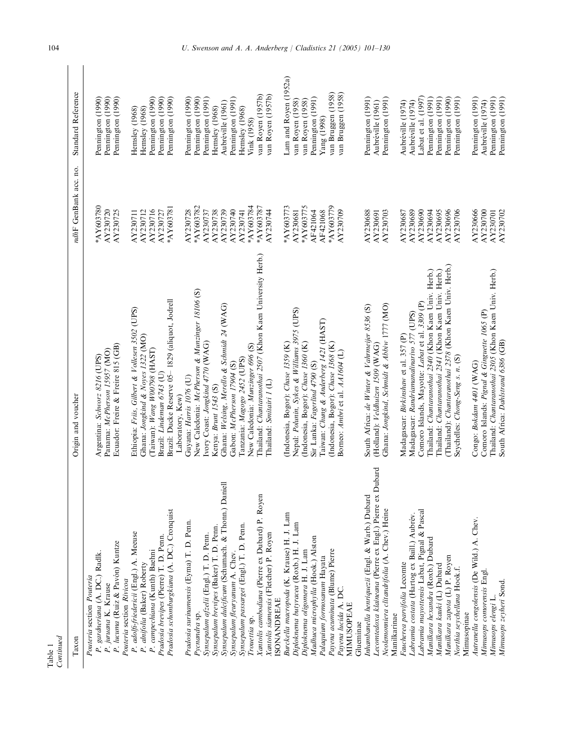| ì | T |
|---|---|
| × |   |
|   |   |

| U                                                             |                                                            |                       |                       |
|---------------------------------------------------------------|------------------------------------------------------------|-----------------------|-----------------------|
| $\operatorname{Taxon}$                                        | Origin and voucher                                         | ndhF GenBank acc. no. | Standard Reference    |
| P. gardneriana (A. DC.) Radlk.<br>Pouteria section Pouteria   | Argentina: Schworz 8216 (UPS)                              | *AY603780             | Pennington (1990)     |
| P. juruana K. Krause                                          | Panama: McPherson 15957 (MO)                               | AY230720              | Pennington (1990)     |
| P. lucuma (Ruiz & Pavón) Kuntze                               | Ecuador: Freire & Freire 815 (GB)                          | AY230725              | Pennington (1990)     |
| Pouteria section Rivicoa                                      |                                                            |                       |                       |
| P. adolfi-friedericii (Engl.) A. Meeuse                       | Ethiopia: Friis, Gilbert & Vollesen 3502 (UPS)             | AY230711              | Hemsley (1968)        |
| P. alnifolia (Baker) Roberty                                  | Ghana: Jongkind & Noyes 1322 (MO)                          | AY230712              | Hemsley (1968)        |
| P. campechiana (Kunth) Baehni                                 | (Taiwan): Wang W00798 (HAST)                               | AY230716              | Pennington (1990)     |
| Pradosia brevipes (Pierre) T. D. Penn.                        | Brazil: Lindeman 6743 (U)                                  | AY230727              | Pennington (1990)     |
| Pradosia schomburgkiana (A. DC.) Cronquist                    | Brazil: Ducke Reserve 05-1829 (aliquot, Jodrell            | *AY603781             | Pennington (1990)     |
|                                                               | Laboratory, Kew)                                           |                       |                       |
| Pradosia surinamensis (Eyma) T. D. Penn.                      | Guyana: Harris 1076 (U)                                    | AY230728              | Pennington (1990)     |
| Pycnandra sp.                                                 | New Caledonia: McPherson & Munzinger 18106 (S)             | *AY603782             | Pennington (1990)     |
| Synsepalum afzelii (Engl.) T. D. Penn.                        | Ivory Coast: Jongkind 4770 (WAG)                           | AY230737              | Pennington (1991)     |
| Synsepalum brevipes (Baker) T. D. Penn.                       | Kenya: Brunt 1543 (S)                                      | AY230738              | Hemsley (1968)        |
| Synsepalum dulcificum (Schumach. & Thonn.) Daniell            | Ghana: Welsing, Merello & Schmidt 24 (WAG)                 | AY230739              | Aubréville (1961)     |
| Synsepalum fleuryanum A. Chev.                                | Gabon: McPherson 17904 (S)                                 | AY230740              | Pennington (1991)     |
| Synsepalum passargei (Engl.) T. D. Penn.                      | Tanzania: Magogo 2452 (UPS)                                | AY230741              | Hemsley (1968)        |
| Trouettia sp.                                                 | New Caledonia: Munzinger 696 (S)                           | *AY603784             | Vink (1958)           |
| Xantolis cambodiana (Pierre ex Dubard) P. Royen               | Thailand: Chantaranothai 2507 (Khon Kaen University Herb.) | *AY603787             | van Royen (1957b)     |
| Xantolis siamensis (Fletcher) P. Royen                        | Thailand: Smitairi 1(L)                                    | AY230744              | van Royen (1957b)     |
| <b>ISONANDREAE</b>                                            |                                                            |                       |                       |
| Burckella macropoda (K. Krause) H. J. Lam                     | (Indonesia, Bogor): Chase 1359 (K)                         | *AY603773             | Lam and Royen (1952a) |
| Diploknema butyracea (Roxb.) H. J. Lam                        | Nepal: Polunin, Sykes & Williams 3975 (UPS)                | AY230681              | van Royen (1958)      |
| Diploknema oligomera H. J. Lam                                | (Indonesia, Bogor): Chase 1360 (K)                         | *AY603775             | van Royen (1958)      |
| Madhuca microphylla (Hook.) Alston                            | Sir Lanka: Fagerlind 4790 (S)                              | AF421064              | Pennington (1991)     |
| Palaquium formosanum Hayata                                   | Taiwan: Chung & Anderberg 1421 (HAST)                      | AF421068              | Yang (1998)           |
| Payena acuminata (Blume) Pierre                               | (Indonesia, Bogor): Chase 1368 (K)                         | *AY603779             | van Bruggen (1958)    |
| Payena lucida A. DC.<br>MIMUSOPEAE                            | Borneo: Ambri et al. AA1604 (L)                            | AY230709              | van Bruggen (1958)    |
| Glueminae                                                     |                                                            |                       |                       |
| Inhambanella henriquezii (Engl. & Warb.) Dubard               | South Africa: de Winter & Vahrmeijer 8536 (S)              | AY230688              | Pennington (1991)     |
| Lecomtedoxa klaineana (Pierre ex Engl.) Pierre ex Dubard      | (Holland): Veldhuizen 1509 (WAG)                           | AY230691              | Aubréville (1961)     |
| Neolemonniera clitandrifolia (A. Chev.) Heine<br>Manilkarinae | Ghana: Jongkind, Schmidt & Abbiw 1777 (MO)                 | AY230703              | Pennington (1991)     |
| Faucherea parvifolia Lecomte                                  | Madagascar: Birkinshaw et al. 357 (P)                      | AY230687              | Aubréville (1974)     |
| Labramia costata (Hartog ex Baill.) Aubrév.                   | Madagascar: Randriamanalinarivo 577 (UPS)                  | AY230689              | Aubréville (1974)     |
| Labramia mayottensis Labat, Pignal & Pascal                   | Comoro Islands, Mayotte: Labat et al. 3309 (P)             | AY230690              | Labat et al. (1997)   |
| Manilkara hexandra (Roxb.) Dubard                             | Thailand: Chantaranothai 2340 (Khon Kaen Univ. Herb.)      | AY230694              | Pennington (1991)     |
| Manilkara kauki (L) Dubard                                    | Thailand: Chantaranothai 2341 (Khon Kaen Univ. Herb.)      | AY230695              | Pennington (1991)     |
| Manikara zapota (L) P. Royen                                  | (Thailand): Chantaranothai 2378 (Khon Kaen Univ. Herb.)    | AY230696              | Pennington (1990)     |
| Northia seychellana Hook.f.<br>Mimusopinae                    | Seychelles: Chong-Seng s. n. (S)                           | AY230706              | Pennington (1991)     |
| Autranella congolensis (De Wild.) A. Chev.                    | Congo: Bokdam 4401 (WAG)                                   | AY230666              | Pennington (1991)     |
| Mimusops comorensis Engl.                                     | Comoro Islands: Pignal & Ginguette 1065 (P)                | AY230700              | Aubréville (1974)     |
| Mimusops elengi L.                                            | Thailand: Chantaranothai 2305 (Khon Kaen Univ. Herb.)      | AY230701              | Pennington (1991)     |
| Minusops zeyheri Sond.                                        | South Africa: Dahlstrand 6386 (GB)                         | AY230702              | Pennington (1991)     |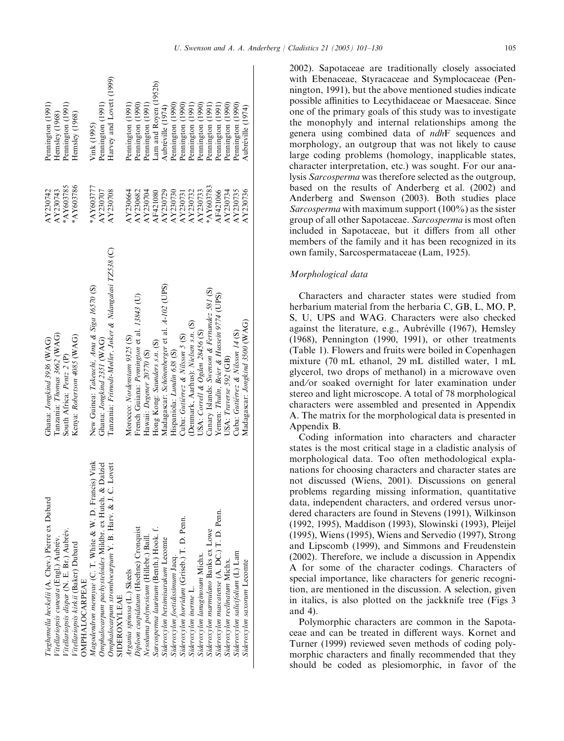| Ghana: Jongkind 3936 (WAG)                             | AY230742  | Pennington (1991)        |
|--------------------------------------------------------|-----------|--------------------------|
| Tanzania: Thomas 3662 (WAG)                            | AY230743  | Hemsley (1968)           |
| South Africa: Pentz 2 (P)                              | *AY603785 | Pennington (1991)        |
| Kenya: Robertson 4085 (WAG)                            | *AY603786 | Hemsley (1968)           |
| New Guinea: Takeuchi, Ama & Siga 16570 (S)             | *AY603777 | Vink (1995)              |
| Ghana: Jongkind 2351 (WAG)                             | AY230707  | Pennington (1991)        |
| Tanzania: Frimodt-Møller, Jøker & Ndangalasi TZ538 (C) | AY230708  | Harvey and Lovett (1999) |
| Morocco: Nordenstam 9325 (S)                           | AY230664  | Pennington (1991)        |
| French Guiana: Pennington et al. 13843 (U)             | AY230682  | Pennington (1990)        |
| Hawaii: Degener 20770 (S)                              | AY230704  | Pennington (1991)        |
| Hong Kong: Saunders s.n. (S)                           | AF421080  | Lam and Royen (1952b)    |
| Madagascar: Schönenberger et al. A-102 (UPS)           | AY230729  | Aubréville (1974)        |
| Hispaniola: Lundin 638 (S)                             | AY230730  | Pennington (1990)        |
| Cuba: Gutiérrez & Nilsson 5 (S)                        | AY230731  | Pennington (1990)        |
| Denmark, Aarhus): Nielsen s.n. (S)                     | AY230732  | Pennington (1991)        |
| USA: Correll & Ogden $28456$ (S)                       | AY230733  | Pennington (1990)        |
| Canary Islands: Swenson & Fernandez 581 (S)            | *AY603783 | Pennington (1991)        |
| Yemen: Thulin, Beier & Hussein 9774 (UPS)              | AF421066  | Pennington (1991)        |
| USA: Traverse 592 (GB)                                 | AY230734  | Pennington (1990)        |
| Cuba: Gutiérrez & Nilsson 14 (S)                       | AY230735  | Pennington (1990)        |
| Madagascar: Jongkind 3500 (WAG)                        | AY230736  | Aubréville (1974)        |
|                                                        |           |                          |

2002). Sapotaceae are traditionally closely associated with Ebenaceae, Styracaceae and Symplocaceae (Pennington, 1991), but the above mentioned studies indicate possible affinities to Lecythidaceae or Maesaceae. Since one of the primary goals of this study was to investigate the monophyly and internal relationships among the genera using combined data of ndhF sequences and morphology, an outgroup that was not likely to cause large coding problems (homology, inapplicable states, character interpretation, etc.) was sought. For our analysis Sarcosperma was therefore selected as the outgroup, based on the results of Anderberg et al. (2002) and Anderberg and Swenson (2003). Both studies place Sarcosperma with maximum support (100%) as the sister group of all other Sapotaceae. Sarcosperma is most often included in Sapotaceae, but it differs from all other members of the family and it has been recognized in its own family, Sarcospermataceae (Lam, 1925).

# Morphological data

Characters and character states were studied from herbarium material from the herbaria C, GB, L, MO, P, S, U, UPS and WAG. Characters were also checked against the literature, e.g., Aubréville (1967), Hemsley (1968), Pennington (1990, 1991), or other treatments (Table 1). Flowers and fruits were boiled in Copenhagen mixture (70 mL ethanol, 29 mL distilled water, 1 mL glycerol, two drops of methanol) in a microwave oven and ⁄or soaked overnight for later examination under stereo and light microscope. A total of 78 morphological characters were assembled and presented in Appendix A. The matrix for the morphological data is presented in Appendix B.

Coding information into characters and character states is the most critical stage in a cladistic analysis of morphological data. Too often methodological explanations for choosing characters and character states are not discussed (Wiens, 2001). Discussions on general problems regarding missing information, quantitative data, independent characters, and ordered versus unordered characters are found in Stevens (1991), Wilkinson (1992, 1995), Maddison (1993), Slowinski (1993), Pleijel (1995), Wiens (1995), Wiens and Servedio (1997), Strong and Lipscomb (1999), and Simmons and Freudenstein (2002). Therefore, we include a discussion in Appendix A for some of the character codings. Characters of special importance, like characters for generic recognition, are mentioned in the discussion. A selection, given in italics, is also plotted on the jackknife tree (Figs 3 and 4).

Polymorphic characters are common in the Sapotaceae and can be treated in different ways. Kornet and Turner (1999) reviewed seven methods of coding polymorphic characters and finally recommended that they should be coded as plesiomorphic, in favor of the

 $\overline{\phantom{a}}$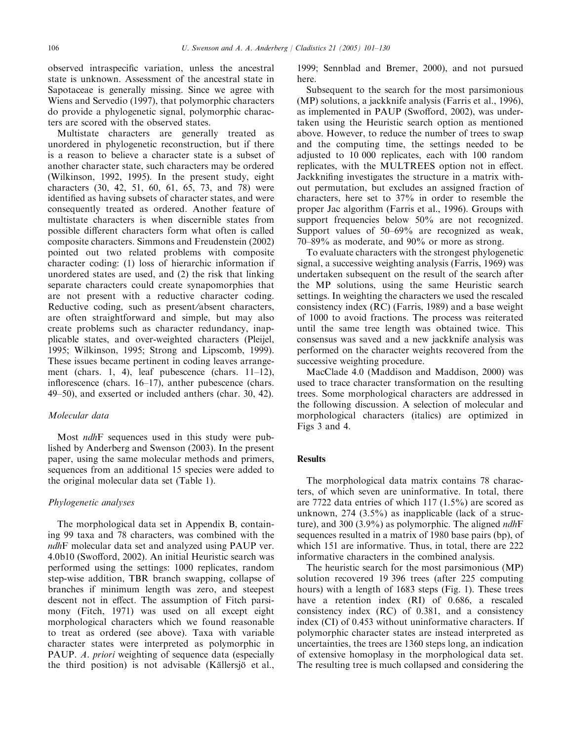observed intraspecific variation, unless the ancestral state is unknown. Assessment of the ancestral state in Sapotaceae is generally missing. Since we agree with Wiens and Servedio (1997), that polymorphic characters do provide a phylogenetic signal, polymorphic characters are scored with the observed states.

Multistate characters are generally treated as unordered in phylogenetic reconstruction, but if there is a reason to believe a character state is a subset of another character state, such characters may be ordered (Wilkinson, 1992, 1995). In the present study, eight characters (30, 42, 51, 60, 61, 65, 73, and 78) were identified as having subsets of character states, and were consequently treated as ordered. Another feature of multistate characters is when discernible states from possible different characters form what often is called composite characters. Simmons and Freudenstein (2002) pointed out two related problems with composite character coding: (1) loss of hierarchic information if unordered states are used, and (2) the risk that linking separate characters could create synapomorphies that are not present with a reductive character coding. Reductive coding, such as present⁄absent characters, are often straightforward and simple, but may also create problems such as character redundancy, inapplicable states, and over-weighted characters (Pleijel, 1995; Wilkinson, 1995; Strong and Lipscomb, 1999). These issues became pertinent in coding leaves arrangement (chars. 1, 4), leaf pubescence (chars. 11–12), inflorescence (chars. 16–17), anther pubescence (chars. 49–50), and exserted or included anthers (char. 30, 42).

# Molecular data

Most *ndhF* sequences used in this study were published by Anderberg and Swenson (2003). In the present paper, using the same molecular methods and primers, sequences from an additional 15 species were added to the original molecular data set (Table 1).

#### Phylogenetic analyses

The morphological data set in Appendix B, containing 99 taxa and 78 characters, was combined with the ndhF molecular data set and analyzed using PAUP ver. 4.0b10 (Swofford, 2002). An initial Heuristic search was performed using the settings: 1000 replicates, random step-wise addition, TBR branch swapping, collapse of branches if minimum length was zero, and steepest descent not in effect. The assumption of Fitch parsimony (Fitch, 1971) was used on all except eight morphological characters which we found reasonable to treat as ordered (see above). Taxa with variable character states were interpreted as polymorphic in PAUP. A. priori weighting of sequence data (especially the third position) is not advisable (Källersjö et al., 1999; Sennblad and Bremer, 2000), and not pursued here.

Subsequent to the search for the most parsimonious (MP) solutions, a jackknife analysis (Farris et al., 1996), as implemented in PAUP (Swofford, 2002), was undertaken using the Heuristic search option as mentioned above. However, to reduce the number of trees to swap and the computing time, the settings needed to be adjusted to 10 000 replicates, each with 100 random replicates, with the MULTREES option not in effect. Jackknifing investigates the structure in a matrix without permutation, but excludes an assigned fraction of characters, here set to 37% in order to resemble the proper Jac algorithm (Farris et al., 1996). Groups with support frequencies below 50% are not recognized. Support values of 50–69% are recognized as weak, 70–89% as moderate, and 90% or more as strong.

To evaluate characters with the strongest phylogenetic signal, a successive weighting analysis (Farris, 1969) was undertaken subsequent on the result of the search after the MP solutions, using the same Heuristic search settings. In weighting the characters we used the rescaled consistency index (RC) (Farris, 1989) and a base weight of 1000 to avoid fractions. The process was reiterated until the same tree length was obtained twice. This consensus was saved and a new jackknife analysis was performed on the character weights recovered from the successive weighting procedure.

MacClade 4.0 (Maddison and Maddison, 2000) was used to trace character transformation on the resulting trees. Some morphological characters are addressed in the following discussion. A selection of molecular and morphological characters (italics) are optimized in Figs 3 and 4.

## Results

The morphological data matrix contains 78 characters, of which seven are uninformative. In total, there are 7722 data entries of which 117 (1.5%) are scored as unknown, 274 (3.5%) as inapplicable (lack of a structure), and 300 (3.9%) as polymorphic. The aligned  $ndhF$ sequences resulted in a matrix of 1980 base pairs (bp), of which 151 are informative. Thus, in total, there are 222 informative characters in the combined analysis.

The heuristic search for the most parsimonious (MP) solution recovered 19 396 trees (after 225 computing hours) with a length of 1683 steps (Fig. 1). These trees have a retention index (RI) of 0.686, a rescaled consistency index (RC) of 0.381, and a consistency index (CI) of 0.453 without uninformative characters. If polymorphic character states are instead interpreted as uncertainties, the trees are 1360 steps long, an indication of extensive homoplasy in the morphological data set. The resulting tree is much collapsed and considering the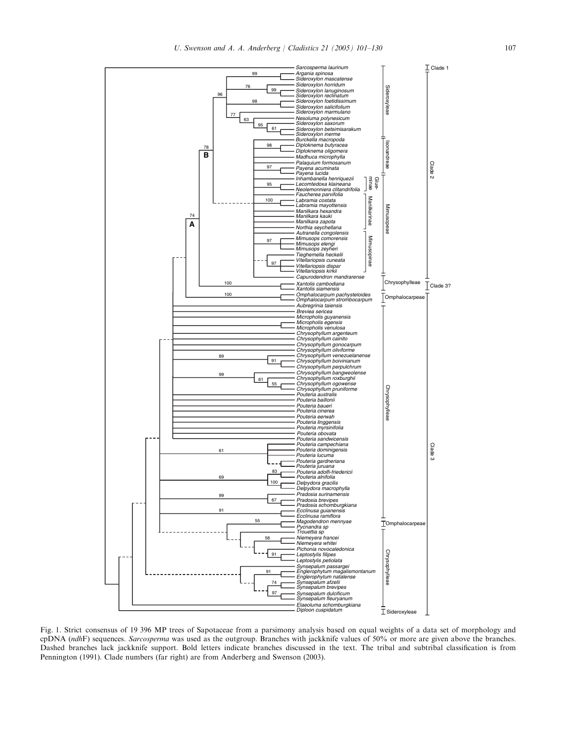

Fig. 1. Strict consensus of 19 396 MP trees of Sapotaceae from a parsimony analysis based on equal weights of a data set of morphology and cpDNA (ndhF) sequences. Sarcosperma was used as the outgroup. Branches with jackknife values of 50% or more are given above the branches. Dashed branches lack jackknife support. Bold letters indicate branches discussed in the text. The tribal and subtribal classification is from Pennington (1991). Clade numbers (far right) are from Anderberg and Swenson (2003).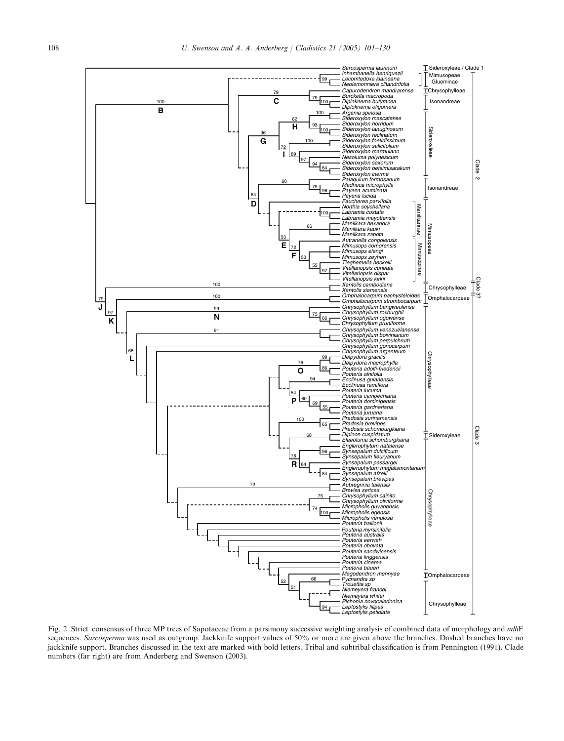

Fig. 2. Strict consensus of three MP trees of Sapotaceae from a parsimony successive weighting analysis of combined data of morphology and ndhF sequences. Sarcosperma was used as outgroup. Jackknife support values of 50% or more are given above the branches. Dashed branches have no jackknife support. Branches discussed in the text are marked with bold letters. Tribal and subtribal classification is from Pennington (1991). Clade numbers (far right) are from Anderberg and Swenson (2003).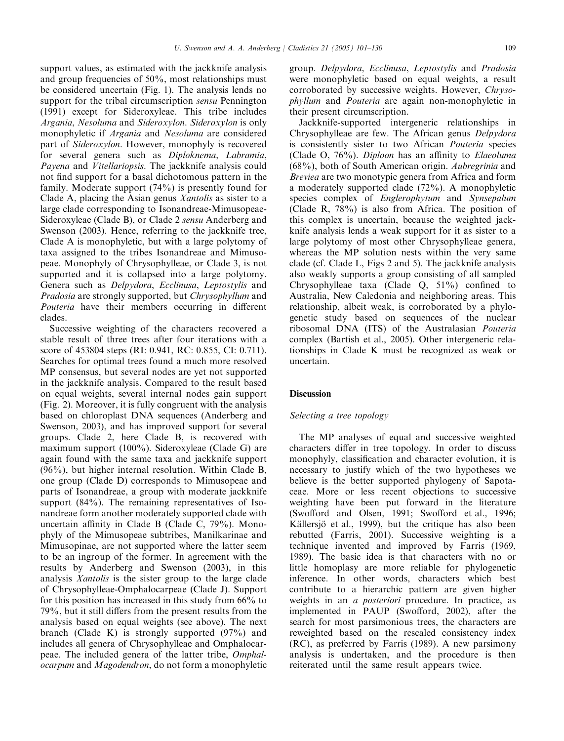support values, as estimated with the jackknife analysis and group frequencies of 50%, most relationships must be considered uncertain (Fig. 1). The analysis lends no support for the tribal circumscription *sensu* Pennington (1991) except for Sideroxyleae. This tribe includes Argania, Nesoluma and Sideroxylon. Sideroxylon is only monophyletic if Argania and Nesoluma are considered part of Sideroxylon. However, monophyly is recovered for several genera such as Diploknema, Labramia, Payena and Vitellariopsis. The jackknife analysis could not find support for a basal dichotomous pattern in the family. Moderate support (74%) is presently found for Clade A, placing the Asian genus Xantolis as sister to a large clade corresponding to Isonandreae-Mimusopeae-Sideroxyleae (Clade B), or Clade 2 sensu Anderberg and Swenson (2003). Hence, referring to the jackknife tree, Clade A is monophyletic, but with a large polytomy of taxa assigned to the tribes Isonandreae and Mimusopeae. Monophyly of Chrysophylleae, or Clade 3, is not supported and it is collapsed into a large polytomy. Genera such as Delpydora, Ecclinusa, Leptostylis and Pradosia are strongly supported, but Chrysophyllum and Pouteria have their members occurring in different clades.

Successive weighting of the characters recovered a stable result of three trees after four iterations with a score of 453804 steps (RI: 0.941, RC: 0.855, CI: 0.711). Searches for optimal trees found a much more resolved MP consensus, but several nodes are yet not supported in the jackknife analysis. Compared to the result based on equal weights, several internal nodes gain support (Fig. 2). Moreover, it is fully congruent with the analysis based on chloroplast DNA sequences (Anderberg and Swenson, 2003), and has improved support for several groups. Clade 2, here Clade B, is recovered with maximum support (100%). Sideroxyleae (Clade G) are again found with the same taxa and jackknife support (96%), but higher internal resolution. Within Clade B, one group (Clade D) corresponds to Mimusopeae and parts of Isonandreae, a group with moderate jackknife support (84%). The remaining representatives of Isonandreae form another moderately supported clade with uncertain affinity in Clade B (Clade C, 79%). Monophyly of the Mimusopeae subtribes, Manilkarinae and Mimusopinae, are not supported where the latter seem to be an ingroup of the former. In agreement with the results by Anderberg and Swenson (2003), in this analysis Xantolis is the sister group to the large clade of Chrysophylleae-Omphalocarpeae (Clade J). Support for this position has increased in this study from 66% to 79%, but it still differs from the present results from the analysis based on equal weights (see above). The next branch (Clade K) is strongly supported  $(97%)$  and includes all genera of Chrysophylleae and Omphalocarpeae. The included genera of the latter tribe, Omphalocarpum and Magodendron, do not form a monophyletic

group. Delpydora, Ecclinusa, Leptostylis and Pradosia were monophyletic based on equal weights, a result corroborated by successive weights. However, Chrysophyllum and Pouteria are again non-monophyletic in their present circumscription.

Jackknife-supported intergeneric relationships in Chrysophylleae are few. The African genus Delpydora is consistently sister to two African Pouteria species (Clade O, 76%). Diploon has an affinity to Elaeoluma (68%), both of South American origin. Aubregrinia and Breviea are two monotypic genera from Africa and form a moderately supported clade (72%). A monophyletic species complex of Englerophytum and Synsepalum (Clade R, 78%) is also from Africa. The position of this complex is uncertain, because the weighted jackknife analysis lends a weak support for it as sister to a large polytomy of most other Chrysophylleae genera, whereas the MP solution nests within the very same clade (cf. Clade L, Figs 2 and 5). The jackknife analysis also weakly supports a group consisting of all sampled Chrysophylleae taxa (Clade Q, 51%) confined to Australia, New Caledonia and neighboring areas. This relationship, albeit weak, is corroborated by a phylogenetic study based on sequences of the nuclear ribosomal DNA (ITS) of the Australasian Pouteria complex (Bartish et al., 2005). Other intergeneric relationships in Clade K must be recognized as weak or uncertain.

## **Discussion**

# Selecting a tree topology

The MP analyses of equal and successive weighted characters differ in tree topology. In order to discuss monophyly, classification and character evolution, it is necessary to justify which of the two hypotheses we believe is the better supported phylogeny of Sapotaceae. More or less recent objections to successive weighting have been put forward in the literature (Swofford and Olsen, 1991; Swofford et al., 1996; Källersjö et al., 1999), but the critique has also been rebutted (Farris, 2001). Successive weighting is a technique invented and improved by Farris (1969, 1989). The basic idea is that characters with no or little homoplasy are more reliable for phylogenetic inference. In other words, characters which best contribute to a hierarchic pattern are given higher weights in an a posteriori procedure. In practice, as implemented in PAUP (Swofford, 2002), after the search for most parsimonious trees, the characters are reweighted based on the rescaled consistency index (RC), as preferred by Farris (1989). A new parsimony analysis is undertaken, and the procedure is then reiterated until the same result appears twice.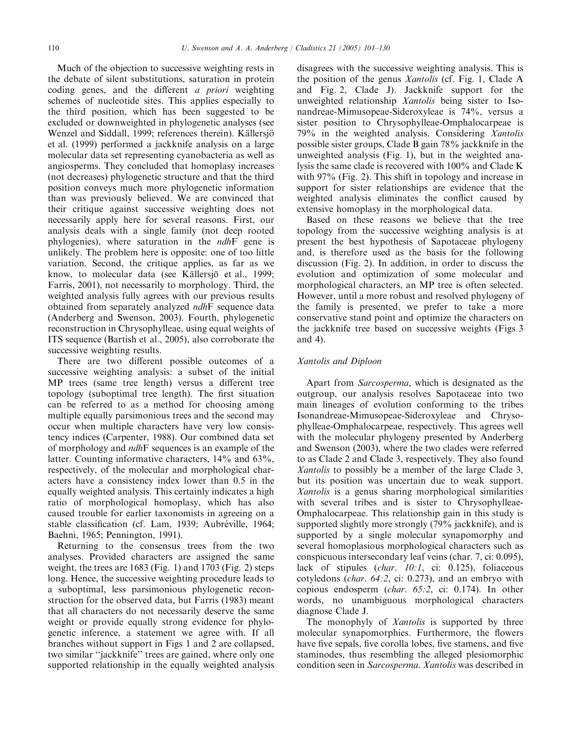Much of the objection to successive weighting rests in the debate of silent substitutions, saturation in protein coding genes, and the different a priori weighting schemes of nucleotide sites. This applies especially to the third position, which has been suggested to be excluded or downweighted in phylogenetic analyses (see Wenzel and Siddall, 1999; references therein). Källersjö et al. (1999) performed a jackknife analysis on a large molecular data set representing cyanobacteria as well as angiosperms. They concluded that homoplasy increases (not decreases) phylogenetic structure and that the third position conveys much more phylogenetic information than was previously believed. We are convinced that their critique against successive weighting does not necessarily apply here for several reasons. First, our analysis deals with a single family (not deep rooted phylogenies), where saturation in the ndhF gene is unlikely. The problem here is opposite: one of too little variation. Second, the critique applies, as far as we know, to molecular data (see Källersjö et al., 1999; Farris, 2001), not necessarily to morphology. Third, the weighted analysis fully agrees with our previous results obtained from separately analyzed ndhF sequence data (Anderberg and Swenson, 2003). Fourth, phylogenetic reconstruction in Chrysophylleae, using equal weights of ITS sequence (Bartish et al., 2005), also corroborate the successive weighting results.

There are two different possible outcomes of a successive weighting analysis: a subset of the initial MP trees (same tree length) versus a different tree topology (suboptimal tree length). The first situation can be referred to as a method for choosing among multiple equally parsimonious trees and the second may occur when multiple characters have very low consistency indices (Carpenter, 1988). Our combined data set of morphology and ndhF sequences is an example of the latter. Counting informative characters, 14% and 63%, respectively, of the molecular and morphological characters have a consistency index lower than 0.5 in the equally weighted analysis. This certainly indicates a high ratio of morphological homoplasy, which has also caused trouble for earlier taxonomists in agreeing on a stable classification (cf. Lam, 1939; Aubréville, 1964; Baehni, 1965; Pennington, 1991).

Returning to the consensus trees from the two analyses. Provided characters are assigned the same weight, the trees are 1683 (Fig. 1) and 1703 (Fig. 2) steps long. Hence, the successive weighting procedure leads to a suboptimal, less parsimonious phylogenetic reconstruction for the observed data, but Farris (1983) meant that all characters do not necessarily deserve the same weight or provide equally strong evidence for phylogenetic inference, a statement we agree with. If all branches without support in Figs 1 and 2 are collapsed, two similar ''jackknife'' trees are gained, where only one supported relationship in the equally weighted analysis disagrees with the successive weighting analysis. This is the position of the genus Xantolis (cf. Fig. 1, Clade A and Fig. 2, Clade J). Jackknife support for the unweighted relationship Xantolis being sister to Isonandreae-Mimusopeae-Sideroxyleae is 74%, versus a sister position to Chrysophylleae-Omphalocarpeae is 79% in the weighted analysis. Considering Xantolis possible sister groups, Clade B gain 78% jackknife in the unweighted analysis (Fig. 1), but in the weighted analysis the same clade is recovered with 100% and Clade K with 97% (Fig. 2). This shift in topology and increase in support for sister relationships are evidence that the weighted analysis eliminates the conflict caused by extensive homoplasy in the morphological data.

Based on these reasons we believe that the tree topology from the successive weighting analysis is at present the best hypothesis of Sapotaceae phylogeny and, is therefore used as the basis for the following discussion (Fig. 2). In addition, in order to discuss the evolution and optimization of some molecular and morphological characters, an MP tree is often selected. However, until a more robust and resolved phylogeny of the family is presented, we prefer to take a more conservative stand point and optimize the characters on the jackknife tree based on successive weights (Figs 3 and 4).

# Xantolis and Diploon

Apart from Sarcosperma, which is designated as the outgroup, our analysis resolves Sapotaceae into two main lineages of evolution conforming to the tribes Isonandreae-Mimusopeae-Sideroxyleae and Chrysophylleae-Omphalocarpeae, respectively. This agrees well with the molecular phylogeny presented by Anderberg and Swenson (2003), where the two clades were referred to as Clade 2 and Clade 3, respectively. They also found Xantolis to possibly be a member of the large Clade 3, but its position was uncertain due to weak support. Xantolis is a genus sharing morphological similarities with several tribes and is sister to Chrysophylleae-Omphalocarpeae. This relationship gain in this study is supported slightly more strongly (79% jackknife), and is supported by a single molecular synapomorphy and several homoplasious morphological characters such as conspicuous intersecondary leaf veins (char. 7, ci: 0.095), lack of stipules (char. 10:1, ci: 0.125), foliaceous cotyledons (char. 64:2, ci: 0.273), and an embryo with copious endosperm (char. 65:2, ci: 0.174). In other words, no unambiguous morphological characters diagnose Clade J.

The monophyly of *Xantolis* is supported by three molecular synapomorphies. Furthermore, the flowers have five sepals, five corolla lobes, five stamens, and five staminodes, thus resembling the alleged plesiomorphic condition seen in Sarcosperma. Xantolis was described in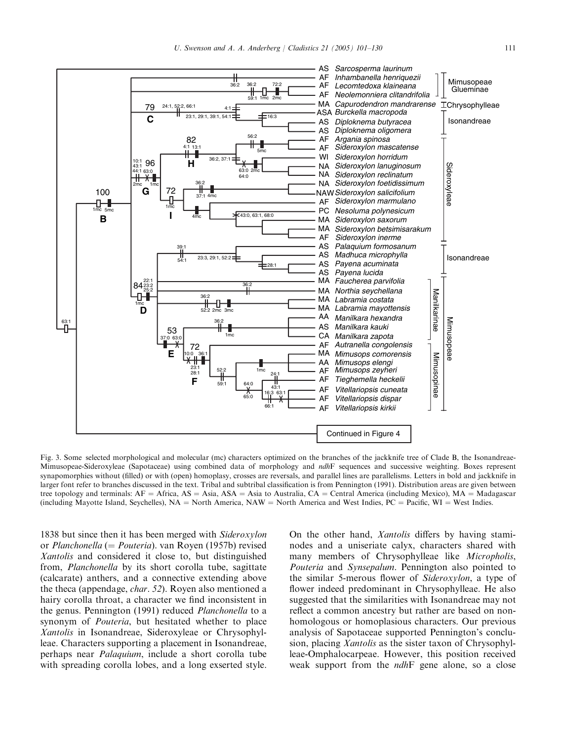

Fig. 3. Some selected morphological and molecular (mc) characters optimized on the branches of the jackknife tree of Clade B, the Isonandreae-Mimusopeae-Sideroxyleae (Sapotaceae) using combined data of morphology and *ndhF* sequences and successive weighting. Boxes represent synapomorphies without (filled) or with (open) homoplasy, crosses are reversals, and parallel lines are parallelisms. Letters in bold and jackknife in larger font refer to branches discussed in the text. Tribal and subtribal classification is from Pennington (1991). Distribution areas are given between tree topology and terminals:  $AF = Africa$ ,  $AS = Asia$ ,  $ASA = Asia$  to Australia,  $CA = Central America$  (including Mexico),  $MA = Madagascar$ (including Mayotte Island, Seychelles), NA = North America, NAW = North America and West Indies,  $PC = Pacific$ , WI = West Indies.

1838 but since then it has been merged with Sideroxylon or *Planchonella* ( $=$  *Pouteria*). van Royen (1957b) revised Xantolis and considered it close to, but distinguished from, Planchonella by its short corolla tube, sagittate (calcarate) anthers, and a connective extending above the theca (appendage, char. 52). Royen also mentioned a hairy corolla throat, a character we find inconsistent in the genus. Pennington (1991) reduced Planchonella to a synonym of Pouteria, but hesitated whether to place Xantolis in Isonandreae, Sideroxyleae or Chrysophylleae. Characters supporting a placement in Isonandreae, perhaps near Palaquium, include a short corolla tube with spreading corolla lobes, and a long exserted style.

On the other hand, Xantolis differs by having staminodes and a uniseriate calyx, characters shared with many members of Chrysophylleae like Micropholis, Pouteria and Synsepalum. Pennington also pointed to the similar 5-merous flower of Sideroxylon, a type of flower indeed predominant in Chrysophylleae. He also suggested that the similarities with Isonandreae may not reflect a common ancestry but rather are based on nonhomologous or homoplasious characters. Our previous analysis of Sapotaceae supported Pennington's conclusion, placing Xantolis as the sister taxon of Chrysophylleae-Omphalocarpeae. However, this position received weak support from the ndhF gene alone, so a close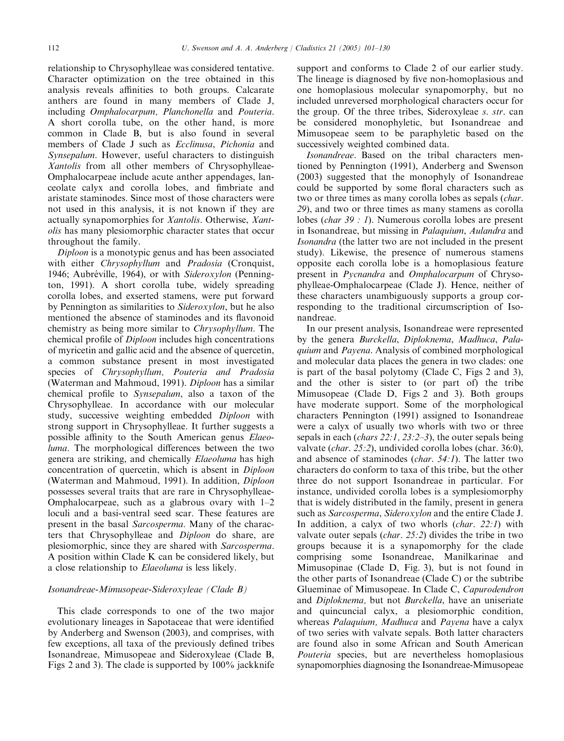relationship to Chrysophylleae was considered tentative. Character optimization on the tree obtained in this analysis reveals affinities to both groups. Calcarate anthers are found in many members of Clade J, including Omphalocarpum, Planchonella and Pouteria. A short corolla tube, on the other hand, is more common in Clade B, but is also found in several members of Clade J such as Ecclinusa, Pichonia and Synsepalum. However, useful characters to distinguish Xantolis from all other members of Chrysophylleae-Omphalocarpeae include acute anther appendages, lanceolate calyx and corolla lobes, and fimbriate and aristate staminodes. Since most of those characters were not used in this analysis, it is not known if they are actually synapomorphies for *Xantolis*. Otherwise, *Xant*olis has many plesiomorphic character states that occur throughout the family.

Diploon is a monotypic genus and has been associated with either Chrysophyllum and Pradosia (Cronquist, 1946; Aubréville, 1964), or with Sideroxylon (Pennington, 1991). A short corolla tube, widely spreading corolla lobes, and exserted stamens, were put forward by Pennington as similarities to Sideroxylon, but he also mentioned the absence of staminodes and its flavonoid chemistry as being more similar to Chrysophyllum. The chemical profile of Diploon includes high concentrations of myricetin and gallic acid and the absence of quercetin, a common substance present in most investigated species of Chrysophyllum, Pouteria and Pradosia (Waterman and Mahmoud, 1991). Diploon has a similar chemical profile to Synsepalum, also a taxon of the Chrysophylleae. In accordance with our molecular study, successive weighting embedded Diploon with strong support in Chrysophylleae. It further suggests a possible affinity to the South American genus Elaeoluma. The morphological differences between the two genera are striking, and chemically Elaeoluma has high concentration of quercetin, which is absent in Diploon (Waterman and Mahmoud, 1991). In addition, Diploon possesses several traits that are rare in Chrysophylleae-Omphalocarpeae, such as a glabrous ovary with 1–2 loculi and a basi-ventral seed scar. These features are present in the basal Sarcosperma. Many of the characters that Chrysophylleae and Diploon do share, are plesiomorphic, since they are shared with Sarcosperma. A position within Clade K can be considered likely, but a close relationship to Elaeoluma is less likely.

## Isonandreae-Mimusopeae-Sideroxyleae (Clade B)

This clade corresponds to one of the two major evolutionary lineages in Sapotaceae that were identified by Anderberg and Swenson (2003), and comprises, with few exceptions, all taxa of the previously defined tribes Isonandreae, Mimusopeae and Sideroxyleae (Clade B, Figs 2 and 3). The clade is supported by 100% jackknife support and conforms to Clade 2 of our earlier study. The lineage is diagnosed by five non-homoplasious and one homoplasious molecular synapomorphy, but no included unreversed morphological characters occur for the group. Of the three tribes, Sideroxyleae s. str. can be considered monophyletic, but Isonandreae and Mimusopeae seem to be paraphyletic based on the successively weighted combined data.

Isonandreae. Based on the tribal characters mentioned by Pennington (1991), Anderberg and Swenson (2003) suggested that the monophyly of Isonandreae could be supported by some floral characters such as two or three times as many corolla lobes as sepals *(char.*) 29), and two or three times as many stamens as corolla lobes (char 39 : 1). Numerous corolla lobes are present in Isonandreae, but missing in Palaquium, Aulandra and Isonandra (the latter two are not included in the present study). Likewise, the presence of numerous stamens opposite each corolla lobe is a homoplasious feature present in Pycnandra and Omphalocarpum of Chrysophylleae-Omphalocarpeae (Clade J). Hence, neither of these characters unambiguously supports a group corresponding to the traditional circumscription of Isonandreae.

In our present analysis, Isonandreae were represented by the genera Burckella, Diploknema, Madhuca, Palaquium and Payena. Analysis of combined morphological and molecular data places the genera in two clades: one is part of the basal polytomy (Clade C, Figs 2 and 3), and the other is sister to (or part of) the tribe Mimusopeae (Clade D, Figs 2 and 3). Both groups have moderate support. Some of the morphological characters Pennington (1991) assigned to Isonandreae were a calyx of usually two whorls with two or three sepals in each (chars 22:1, 23:2–3), the outer sepals being valvate (char. 25:2), undivided corolla lobes (char. 36:0), and absence of staminodes (char. 54:1). The latter two characters do conform to taxa of this tribe, but the other three do not support Isonandreae in particular. For instance, undivided corolla lobes is a symplesiomorphy that is widely distributed in the family, present in genera such as Sarcosperma, Sideroxylon and the entire Clade J. In addition, a calyx of two whorls (char. 22:1) with valvate outer sepals (char. 25:2) divides the tribe in two groups because it is a synapomorphy for the clade comprising some Isonandreae, Manilkarinae and Mimusopinae (Clade D, Fig. 3), but is not found in the other parts of Isonandreae (Clade C) or the subtribe Glueminae of Mimusopeae. In Clade C, Capurodendron and Diploknema, but not Burckella, have an uniseriate and quincuncial calyx, a plesiomorphic condition, whereas *Palaquium, Madhuca* and *Payena* have a calyx of two series with valvate sepals. Both latter characters are found also in some African and South American Pouteria species, but are nevertheless homoplasious synapomorphies diagnosing the Isonandreae-Mimusopeae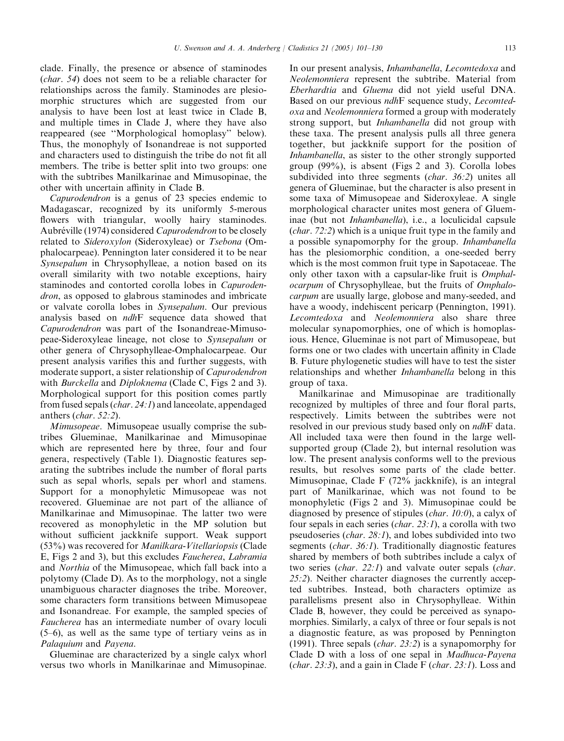clade. Finally, the presence or absence of staminodes (char. 54) does not seem to be a reliable character for relationships across the family. Staminodes are plesiomorphic structures which are suggested from our analysis to have been lost at least twice in Clade B, and multiple times in Clade J, where they have also reappeared (see ''Morphological homoplasy'' below). Thus, the monophyly of Isonandreae is not supported and characters used to distinguish the tribe do not fit all members. The tribe is better split into two groups: one with the subtribes Manilkarinae and Mimusopinae, the other with uncertain affinity in Clade B.

Capurodendron is a genus of 23 species endemic to Madagascar, recognized by its uniformly 5-merous flowers with triangular, woolly hairy staminodes. Aubréville (1974) considered Capurodendron to be closely related to Sideroxylon (Sideroxyleae) or Tsebona (Omphalocarpeae). Pennington later considered it to be near Synsepalum in Chrysophylleae, a notion based on its overall similarity with two notable exceptions, hairy staminodes and contorted corolla lobes in Capurodendron, as opposed to glabrous staminodes and imbricate or valvate corolla lobes in Synsepalum. Our previous analysis based on ndhF sequence data showed that Capurodendron was part of the Isonandreae-Mimusopeae-Sideroxyleae lineage, not close to Synsepalum or other genera of Chrysophylleae-Omphalocarpeae. Our present analysis varifies this and further suggests, with moderate support, a sister relationship of Capurodendron with *Burckella* and *Diploknema* (Clade C, Figs 2 and 3). Morphological support for this position comes partly from fused sepals (char. 24:1) and lanceolate, appendaged anthers (char. 52:2).

Mimusopeae. Mimusopeae usually comprise the subtribes Glueminae, Manilkarinae and Mimusopinae which are represented here by three, four and four genera, respectively (Table 1). Diagnostic features separating the subtribes include the number of floral parts such as sepal whorls, sepals per whorl and stamens. Support for a monophyletic Mimusopeae was not recovered. Glueminae are not part of the alliance of Manilkarinae and Mimusopinae. The latter two were recovered as monophyletic in the MP solution but without sufficient jackknife support. Weak support (53%) was recovered for Manilkara-Vitellariopsis (Clade E, Figs 2 and 3), but this excludes Faucherea, Labramia and Northia of the Mimusopeae, which fall back into a polytomy (Clade D). As to the morphology, not a single unambiguous character diagnoses the tribe. Moreover, some characters form transitions between Mimusopeae and Isonandreae. For example, the sampled species of Faucherea has an intermediate number of ovary loculi (5–6), as well as the same type of tertiary veins as in Palaquium and Payena.

Glueminae are characterized by a single calyx whorl versus two whorls in Manilkarinae and Mimusopinae. In our present analysis, Inhambanella, Lecomtedoxa and Neolemonniera represent the subtribe. Material from Eberhardtia and Gluema did not yield useful DNA. Based on our previous ndhF sequence study, Lecomtedoxa and Neolemonniera formed a group with moderately strong support, but Inhambanella did not group with these taxa. The present analysis pulls all three genera together, but jackknife support for the position of Inhambanella, as sister to the other strongly supported group (99%), is absent (Figs 2 and 3). Corolla lobes subdivided into three segments (*char.* 36:2) unites all genera of Glueminae, but the character is also present in some taxa of Mimusopeae and Sideroxyleae. A single morphological character unites most genera of Glueminae (but not Inhambanella), i.e., a loculicidal capsule (char. 72:2) which is a unique fruit type in the family and a possible synapomorphy for the group. Inhambanella has the plesiomorphic condition, a one-seeded berry which is the most common fruit type in Sapotaceae. The only other taxon with a capsular-like fruit is Omphalocarpum of Chrysophylleae, but the fruits of Omphalocarpum are usually large, globose and many-seeded, and have a woody, indehiscent pericarp (Pennington, 1991). Lecomtedoxa and Neolemonniera also share three molecular synapomorphies, one of which is homoplasious. Hence, Glueminae is not part of Mimusopeae, but forms one or two clades with uncertain affinity in Clade B. Future phylogenetic studies will have to test the sister relationships and whether Inhambanella belong in this group of taxa.

Manilkarinae and Mimusopinae are traditionally recognized by multiples of three and four floral parts, respectively. Limits between the subtribes were not resolved in our previous study based only on *ndhF* data. All included taxa were then found in the large wellsupported group (Clade 2), but internal resolution was low. The present analysis conforms well to the previous results, but resolves some parts of the clade better. Mimusopinae, Clade F (72% jackknife), is an integral part of Manilkarinae, which was not found to be monophyletic (Figs 2 and 3). Mimusopinae could be diagnosed by presence of stipules (char. 10:0), a calyx of four sepals in each series (*char. 23:1*), a corolla with two pseudoseries (char. 28:1), and lobes subdivided into two segments *(char. 36:1)*. Traditionally diagnostic features shared by members of both subtribes include a calyx of two series (char. 22:1) and valvate outer sepals (char. 25:2). Neither character diagnoses the currently accepted subtribes. Instead, both characters optimize as parallelisms present also in Chrysophylleae. Within Clade B, however, they could be perceived as synapomorphies. Similarly, a calyx of three or four sepals is not a diagnostic feature, as was proposed by Pennington (1991). Three sepals (char. 23:2) is a synapomorphy for Clade D with a loss of one sepal in Madhuca-Payena (char. 23:3), and a gain in Clade F (char. 23:1). Loss and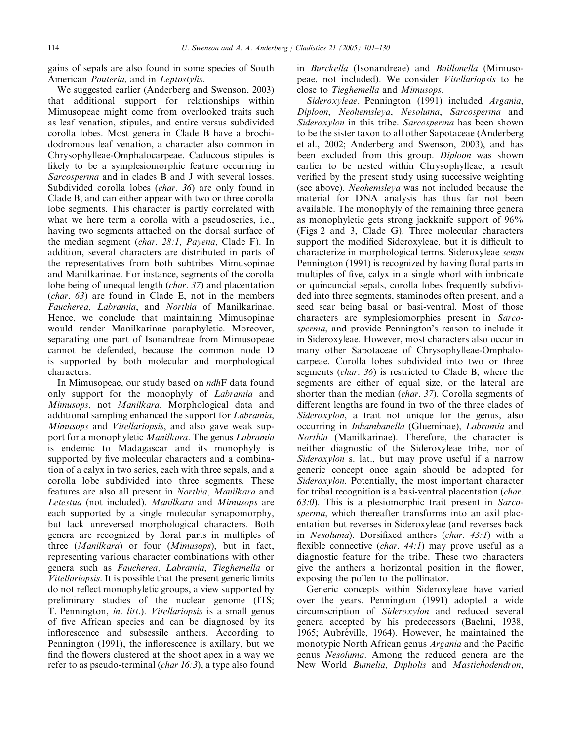gains of sepals are also found in some species of South American Pouteria, and in Leptostylis.

We suggested earlier (Anderberg and Swenson, 2003) that additional support for relationships within Mimusopeae might come from overlooked traits such as leaf venation, stipules, and entire versus subdivided corolla lobes. Most genera in Clade B have a brochidodromous leaf venation, a character also common in Chrysophylleae-Omphalocarpeae. Caducous stipules is likely to be a symplesiomorphic feature occurring in Sarcosperma and in clades B and J with several losses. Subdivided corolla lobes (char. 36) are only found in Clade B, and can either appear with two or three corolla lobe segments. This character is partly correlated with what we here term a corolla with a pseudoseries, i.e., having two segments attached on the dorsal surface of the median segment (char. 28:1, Payena, Clade F). In addition, several characters are distributed in parts of the representatives from both subtribes Mimusopinae and Manilkarinae. For instance, segments of the corolla lobe being of unequal length (char. 37) and placentation (char. 63) are found in Clade E, not in the members Faucherea, Labramia, and Northia of Manilkarinae. Hence, we conclude that maintaining Mimusopinae would render Manilkarinae paraphyletic. Moreover, separating one part of Isonandreae from Mimusopeae cannot be defended, because the common node D is supported by both molecular and morphological characters.

In Mimusopeae, our study based on ndhF data found only support for the monophyly of Labramia and Mimusops, not Manilkara. Morphological data and additional sampling enhanced the support for Labramia, Mimusops and Vitellariopsis, and also gave weak support for a monophyletic Manilkara. The genus Labramia is endemic to Madagascar and its monophyly is supported by five molecular characters and a combination of a calyx in two series, each with three sepals, and a corolla lobe subdivided into three segments. These features are also all present in Northia, Manilkara and Letestua (not included). Manilkara and Mimusops are each supported by a single molecular synapomorphy, but lack unreversed morphological characters. Both genera are recognized by floral parts in multiples of three (Manilkara) or four (Mimusops), but in fact, representing various character combinations with other genera such as Faucherea, Labramia, Tieghemella or Vitellariopsis. It is possible that the present generic limits do not reflect monophyletic groups, a view supported by preliminary studies of the nuclear genome (ITS; T. Pennington, in. litt.). Vitellariopsis is a small genus of five African species and can be diagnosed by its inflorescence and subsessile anthers. According to Pennington (1991), the inflorescence is axillary, but we find the flowers clustered at the shoot apex in a way we refer to as pseudo-terminal (char 16:3), a type also found in Burckella (Isonandreae) and Baillonella (Mimusopeae, not included). We consider Vitellariopsis to be close to Tieghemella and Mimusops.

Sideroxyleae. Pennington (1991) included Argania, Diploon, Neohemsleya, Nesoluma, Sarcosperma and Sideroxylon in this tribe. Sarcosperma has been shown to be the sister taxon to all other Sapotaceae (Anderberg et al., 2002; Anderberg and Swenson, 2003), and has been excluded from this group. *Diploon* was shown earlier to be nested within Chrysophylleae, a result verified by the present study using successive weighting (see above). Neohemsleya was not included because the material for DNA analysis has thus far not been available. The monophyly of the remaining three genera as monophyletic gets strong jackknife support of 96% (Figs 2 and 3, Clade G). Three molecular characters support the modified Sideroxyleae, but it is difficult to characterize in morphological terms. Sideroxyleae sensu Pennington (1991) is recognized by having floral parts in multiples of five, calyx in a single whorl with imbricate or quincuncial sepals, corolla lobes frequently subdivided into three segments, staminodes often present, and a seed scar being basal or basi-ventral. Most of those characters are symplesiomorphies present in Sarcosperma, and provide Pennington's reason to include it in Sideroxyleae. However, most characters also occur in many other Sapotaceae of Chrysophylleae-Omphalocarpeae. Corolla lobes subdivided into two or three segments (char. 36) is restricted to Clade B, where the segments are either of equal size, or the lateral are shorter than the median (char. 37). Corolla segments of different lengths are found in two of the three clades of Sideroxylon, a trait not unique for the genus, also occurring in Inhambanella (Glueminae), Labramia and Northia (Manilkarinae). Therefore, the character is neither diagnostic of the Sideroxyleae tribe, nor of Sideroxylon s. lat., but may prove useful if a narrow generic concept once again should be adopted for Sideroxylon. Potentially, the most important character for tribal recognition is a basi-ventral placentation (char. 63:0). This is a plesiomorphic trait present in Sarcosperma, which thereafter transforms into an axil placentation but reverses in Sideroxyleae (and reverses back in Nesoluma). Dorsifixed anthers (char. 43:1) with a flexible connective *(char. 44:1)* may prove useful as a diagnostic feature for the tribe. These two characters give the anthers a horizontal position in the flower, exposing the pollen to the pollinator.

Generic concepts within Sideroxyleae have varied over the years. Pennington (1991) adopted a wide circumscription of Sideroxylon and reduced several genera accepted by his predecessors (Baehni, 1938, 1965; Aubréville, 1964). However, he maintained the monotypic North African genus Argania and the Pacific genus Nesoluma. Among the reduced genera are the New World Bumelia, Dipholis and Mastichodendron,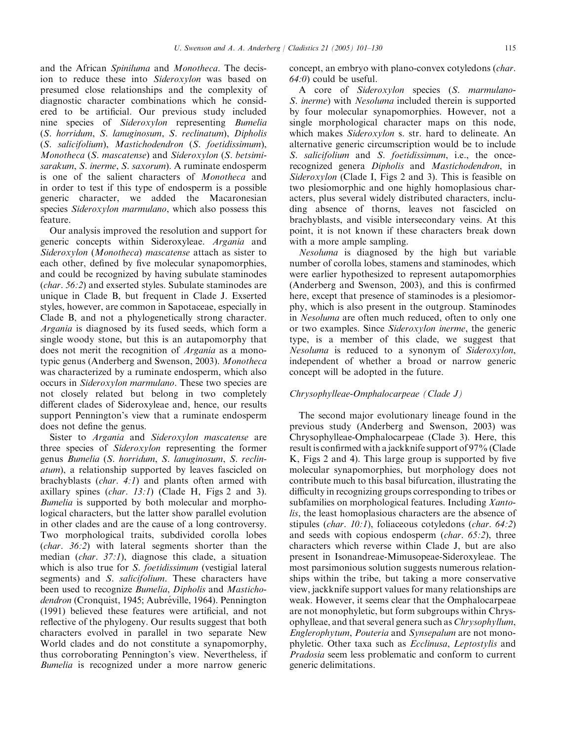and the African Spiniluma and Monotheca. The decision to reduce these into Sideroxylon was based on presumed close relationships and the complexity of diagnostic character combinations which he considered to be artificial. Our previous study included nine species of Sideroxylon representing Bumelia (S. horridum, S. lanuginosum, S. reclinatum), Dipholis (S. salicifolium), Mastichodendron (S. foetidissimum), Monotheca (S. mascatense) and Sideroxylon (S. betsimisarakum, S. inerme, S. saxorum). A ruminate endosperm is one of the salient characters of Monotheca and in order to test if this type of endosperm is a possible generic character, we added the Macaronesian species Sideroxylon marmulano, which also possess this feature.

Our analysis improved the resolution and support for generic concepts within Sideroxyleae. Argania and Sideroxylon (Monotheca) mascatense attach as sister to each other, defined by five molecular synapomorphies, and could be recognized by having subulate staminodes (char. 56:2) and exserted styles. Subulate staminodes are unique in Clade B, but frequent in Clade J. Exserted styles, however, are common in Sapotaceae, especially in Clade B, and not a phylogenetically strong character. Argania is diagnosed by its fused seeds, which form a single woody stone, but this is an autapomorphy that does not merit the recognition of Argania as a monotypic genus (Anderberg and Swenson, 2003). Monotheca was characterized by a ruminate endosperm, which also occurs in Sideroxylon marmulano. These two species are not closely related but belong in two completely different clades of Sideroxyleae and, hence, our results support Pennington's view that a ruminate endosperm does not define the genus.

Sister to Argania and Sideroxylon mascatense are three species of Sideroxylon representing the former genus Bumelia (S. horridum, S. lanuginosum, S. reclinatum), a relationship supported by leaves fascicled on brachyblasts (char. 4:1) and plants often armed with axillary spines  $(char, 13:1)$  (Clade H, Figs 2 and 3). Bumelia is supported by both molecular and morphological characters, but the latter show parallel evolution in other clades and are the cause of a long controversy. Two morphological traits, subdivided corolla lobes (char. 36:2) with lateral segments shorter than the median (char. 37:1), diagnose this clade, a situation which is also true for *S. foetidissimum* (vestigial lateral segments) and S. salicifolium. These characters have been used to recognize Bumelia, Dipholis and Mastichodendron (Cronquist, 1945; Aubréville, 1964). Pennington (1991) believed these features were artificial, and not reflective of the phylogeny. Our results suggest that both characters evolved in parallel in two separate New World clades and do not constitute a synapomorphy, thus corroborating Pennington's view. Nevertheless, if Bumelia is recognized under a more narrow generic

concept, an embryo with plano-convex cotyledons (char.  $64:0$  could be useful.

A core of Sideroxylon species (S. marmulano-S. inerme) with Nesoluma included therein is supported by four molecular synapomorphies. However, not a single morphological character maps on this node, which makes Sideroxylon s. str. hard to delineate. An alternative generic circumscription would be to include S. salicifolium and S. foetidissimum, i.e., the oncerecognized genera Dipholis and Mastichodendron, in Sideroxylon (Clade I, Figs 2 and 3). This is feasible on two plesiomorphic and one highly homoplasious characters, plus several widely distributed characters, including absence of thorns, leaves not fascicled on brachyblasts, and visible intersecondary veins. At this point, it is not known if these characters break down with a more ample sampling.

Nesoluma is diagnosed by the high but variable number of corolla lobes, stamens and staminodes, which were earlier hypothesized to represent autapomorphies (Anderberg and Swenson, 2003), and this is confirmed here, except that presence of staminodes is a plesiomorphy, which is also present in the outgroup. Staminodes in Nesoluma are often much reduced, often to only one or two examples. Since Sideroxylon inerme, the generic type, is a member of this clade, we suggest that Nesoluma is reduced to a synonym of Sideroxylon, independent of whether a broad or narrow generic concept will be adopted in the future.

## Chrysophylleae-Omphalocarpeae (Clade J)

The second major evolutionary lineage found in the previous study (Anderberg and Swenson, 2003) was Chrysophylleae-Omphalocarpeae (Clade 3). Here, this result is confirmed with a jackknife support of 97% (Clade K, Figs 2 and 4). This large group is supported by five molecular synapomorphies, but morphology does not contribute much to this basal bifurcation, illustrating the difficulty in recognizing groups corresponding to tribes or subfamilies on morphological features. Including Xantolis, the least homoplasious characters are the absence of stipules (char. 10:1), foliaceous cotyledons (char. 64:2) and seeds with copious endosperm (char. 65:2), three characters which reverse within Clade J, but are also present in Isonandreae-Mimusopeae-Sideroxyleae. The most parsimonious solution suggests numerous relationships within the tribe, but taking a more conservative view, jackknife support values for many relationships are weak. However, it seems clear that the Omphalocarpeae are not monophyletic, but form subgroups within Chrysophylleae, and that several genera such as Chrysophyllum, Englerophytum, Pouteria and Synsepalum are not monophyletic. Other taxa such as Ecclinusa, Leptostylis and Pradosia seem less problematic and conform to current generic delimitations.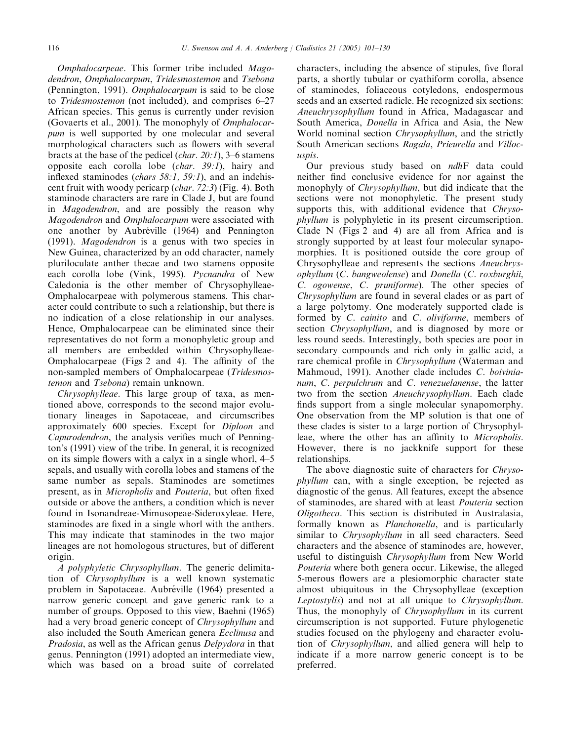Omphalocarpeae. This former tribe included Magodendron, Omphalocarpum, Tridesmostemon and Tsebona (Pennington, 1991). Omphalocarpum is said to be close to Tridesmostemon (not included), and comprises 6–27 African species. This genus is currently under revision (Govaerts et al., 2001). The monophyly of Omphalocarpum is well supported by one molecular and several morphological characters such as flowers with several bracts at the base of the pedicel (char. 20:1), 3–6 stamens opposite each corolla lobe (char. 39:1), hairy and inflexed staminodes (chars 58:1, 59:1), and an indehiscent fruit with woody pericarp (char. 72:3) (Fig. 4). Both staminode characters are rare in Clade J, but are found in Magodendron, and are possibly the reason why Magodendron and Omphalocarpum were associated with one another by Aubréville (1964) and Pennington (1991). Magodendron is a genus with two species in New Guinea, characterized by an odd character, namely pluriloculate anther thecae and two stamens opposite each corolla lobe (Vink, 1995). Pycnandra of New Caledonia is the other member of Chrysophylleae-Omphalocarpeae with polymerous stamens. This character could contribute to such a relationship, but there is no indication of a close relationship in our analyses. Hence, Omphalocarpeae can be eliminated since their representatives do not form a monophyletic group and all members are embedded within Chrysophylleae-Omphalocarpeae (Figs 2 and 4). The affinity of the non-sampled members of Omphalocarpeae (Tridesmostemon and Tsebona) remain unknown.

Chrysophylleae. This large group of taxa, as mentioned above, corresponds to the second major evolutionary lineages in Sapotaceae, and circumscribes approximately 600 species. Except for Diploon and Capurodendron, the analysis verifies much of Pennington's (1991) view of the tribe. In general, it is recognized on its simple flowers with a calyx in a single whorl, 4–5 sepals, and usually with corolla lobes and stamens of the same number as sepals. Staminodes are sometimes present, as in Micropholis and Pouteria, but often fixed outside or above the anthers, a condition which is never found in Isonandreae-Mimusopeae-Sideroxyleae. Here, staminodes are fixed in a single whorl with the anthers. This may indicate that staminodes in the two major lineages are not homologous structures, but of different origin.

A polyphyletic Chrysophyllum. The generic delimitation of Chrysophyllum is a well known systematic problem in Sapotaceae. Aubréville (1964) presented a narrow generic concept and gave generic rank to a number of groups. Opposed to this view, Baehni (1965) had a very broad generic concept of Chrysophyllum and also included the South American genera Ecclinusa and Pradosia, as well as the African genus Delpydora in that genus. Pennington (1991) adopted an intermediate view, which was based on a broad suite of correlated

characters, including the absence of stipules, five floral parts, a shortly tubular or cyathiform corolla, absence of staminodes, foliaceous cotyledons, endospermous seeds and an exserted radicle. He recognized six sections: Aneuchrysophyllum found in Africa, Madagascar and South America, Donella in Africa and Asia, the New World nominal section Chrysophyllum, and the strictly South American sections Ragala, Prieurella and Villocuspis.

Our previous study based on ndhF data could neither find conclusive evidence for nor against the monophyly of Chrysophyllum, but did indicate that the sections were not monophyletic. The present study supports this, with additional evidence that *Chryso*phyllum is polyphyletic in its present circumscription. Clade N (Figs 2 and 4) are all from Africa and is strongly supported by at least four molecular synapomorphies. It is positioned outside the core group of Chrysophylleae and represents the sections Aneuchrysophyllum (C. bangweolense) and Donella (C. roxburghii, C. ogowense, C. pruniforme). The other species of Chrysophyllum are found in several clades or as part of a large polytomy. One moderately supported clade is formed by C. cainito and C. oliviforme, members of section *Chrysophyllum*, and is diagnosed by more or less round seeds. Interestingly, both species are poor in secondary compounds and rich only in gallic acid, a rare chemical profile in Chrysophyllum (Waterman and Mahmoud, 1991). Another clade includes C. boivinianum, C. perpulchrum and C. venezuelanense, the latter two from the section Aneuchrysophyllum. Each clade finds support from a single molecular synapomorphy. One observation from the MP solution is that one of these clades is sister to a large portion of Chrysophylleae, where the other has an affinity to Micropholis. However, there is no jackknife support for these relationships.

The above diagnostic suite of characters for Chrysophyllum can, with a single exception, be rejected as diagnostic of the genus. All features, except the absence of staminodes, are shared with at least Pouteria section Oligotheca. This section is distributed in Australasia, formally known as *Planchonella*, and is particularly similar to Chrysophyllum in all seed characters. Seed characters and the absence of staminodes are, however, useful to distinguish Chrysophyllum from New World Pouteria where both genera occur. Likewise, the alleged 5-merous flowers are a plesiomorphic character state almost ubiquitous in the Chrysophylleae (exception Leptostylis) and not at all unique to Chrysophyllum. Thus, the monophyly of *Chrysophyllum* in its current circumscription is not supported. Future phylogenetic studies focused on the phylogeny and character evolution of Chrysophyllum, and allied genera will help to indicate if a more narrow generic concept is to be preferred.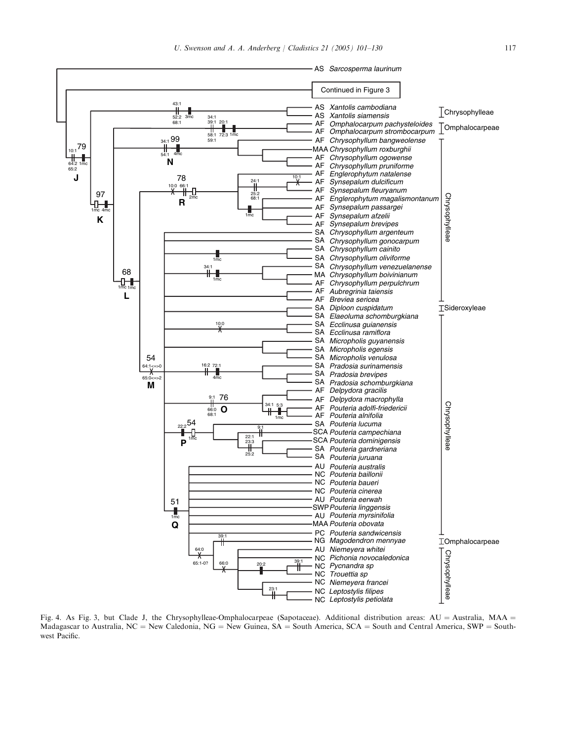

Fig. 4. As Fig. 3, but Clade J, the Chrysophylleae-Omphalocarpeae (Sapotaceae). Additional distribution areas:  $AU =$  Australia, MAA = Madagascar to Australia, NC = New Caledonia, NG = New Guinea, SA = South America, SCA = South and Central America, SWP = Southwest Pacific.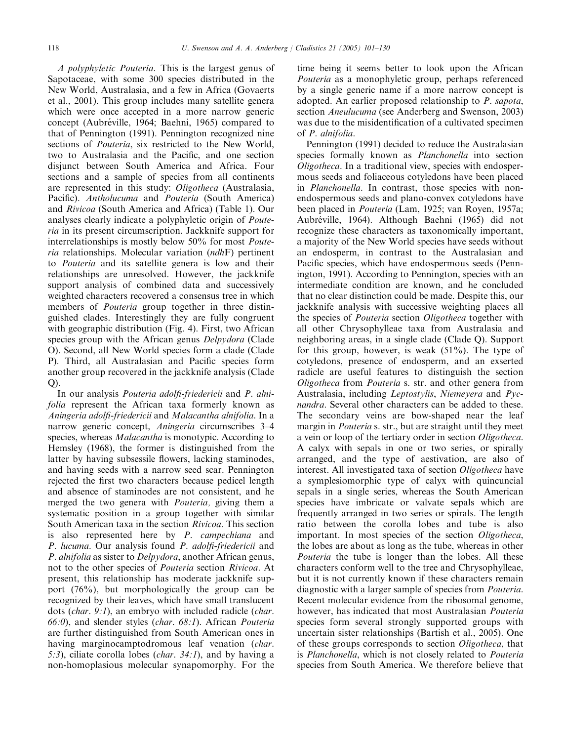A polyphyletic Pouteria. This is the largest genus of Sapotaceae, with some 300 species distributed in the New World, Australasia, and a few in Africa (Govaerts et al., 2001). This group includes many satellite genera which were once accepted in a more narrow generic concept (Aubréville, 1964; Baehni, 1965) compared to that of Pennington (1991). Pennington recognized nine sections of Pouteria, six restricted to the New World, two to Australasia and the Pacific, and one section disjunct between South America and Africa. Four sections and a sample of species from all continents are represented in this study: Oligotheca (Australasia, Pacific). Antholucuma and Pouteria (South America) and Rivicoa (South America and Africa) (Table 1). Our analyses clearly indicate a polyphyletic origin of Pouteria in its present circumscription. Jackknife support for interrelationships is mostly below 50% for most Pouteria relationships. Molecular variation (ndhF) pertinent to Pouteria and its satellite genera is low and their relationships are unresolved. However, the jackknife support analysis of combined data and successively weighted characters recovered a consensus tree in which members of Pouteria group together in three distinguished clades. Interestingly they are fully congruent with geographic distribution (Fig. 4). First, two African species group with the African genus *Delpydora* (Clade O). Second, all New World species form a clade (Clade P). Third, all Australasian and Pacific species form another group recovered in the jackknife analysis (Clade  $O$ ).

In our analysis Pouteria adolfi-friedericii and P. alnifolia represent the African taxa formerly known as Aningeria adolfi-friedericii and Malacantha alnifolia. In a narrow generic concept, Aningeria circumscribes 3–4 species, whereas *Malacantha* is monotypic. According to Hemsley (1968), the former is distinguished from the latter by having subsessile flowers, lacking staminodes, and having seeds with a narrow seed scar. Pennington rejected the first two characters because pedicel length and absence of staminodes are not consistent, and he merged the two genera with *Pouteria*, giving them a systematic position in a group together with similar South American taxa in the section Rivicoa. This section is also represented here by P. campechiana and P. lucuma. Our analysis found P. adolfi-friedericii and P. alnifolia as sister to Delpydora, another African genus, not to the other species of Pouteria section Rivicoa. At present, this relationship has moderate jackknife support (76%), but morphologically the group can be recognized by their leaves, which have small translucent dots (char. 9:1), an embryo with included radicle (char. 66:0), and slender styles (char. 68:1). African Pouteria are further distinguished from South American ones in having marginocamptodromous leaf venation (*char*. 5:3), ciliate corolla lobes (char. 34:1), and by having a non-homoplasious molecular synapomorphy. For the time being it seems better to look upon the African Pouteria as a monophyletic group, perhaps referenced by a single generic name if a more narrow concept is adopted. An earlier proposed relationship to P. sapota, section Aneulucuma (see Anderberg and Swenson, 2003) was due to the misidentification of a cultivated specimen of P. alnifolia.

Pennington (1991) decided to reduce the Australasian species formally known as *Planchonella* into section Oligotheca. In a traditional view, species with endospermous seeds and foliaceous cotyledons have been placed in Planchonella. In contrast, those species with nonendospermous seeds and plano-convex cotyledons have been placed in Pouteria (Lam, 1925; van Royen, 1957a; Aubréville, 1964). Although Baehni (1965) did not recognize these characters as taxonomically important, a majority of the New World species have seeds without an endosperm, in contrast to the Australasian and Pacific species, which have endospermous seeds (Pennington, 1991). According to Pennington, species with an intermediate condition are known, and he concluded that no clear distinction could be made. Despite this, our jackknife analysis with successive weighting places all the species of *Pouteria* section *Oligotheca* together with all other Chrysophylleae taxa from Australasia and neighboring areas, in a single clade (Clade Q). Support for this group, however, is weak  $(51\%)$ . The type of cotyledons, presence of endosperm, and an exserted radicle are useful features to distinguish the section Oligotheca from Pouteria s. str. and other genera from Australasia, including Leptostylis, Niemeyera and Pycnandra. Several other characters can be added to these. The secondary veins are bow-shaped near the leaf margin in *Pouteria* s. str., but are straight until they meet a vein or loop of the tertiary order in section Oligotheca. A calyx with sepals in one or two series, or spirally arranged, and the type of aestivation, are also of interest. All investigated taxa of section Oligotheca have a symplesiomorphic type of calyx with quincuncial sepals in a single series, whereas the South American species have imbricate or valvate sepals which are frequently arranged in two series or spirals. The length ratio between the corolla lobes and tube is also important. In most species of the section Oligotheca, the lobes are about as long as the tube, whereas in other Pouteria the tube is longer than the lobes. All these characters conform well to the tree and Chrysophylleae, but it is not currently known if these characters remain diagnostic with a larger sample of species from Pouteria. Recent molecular evidence from the ribosomal genome, however, has indicated that most Australasian Pouteria species form several strongly supported groups with uncertain sister relationships (Bartish et al., 2005). One of these groups corresponds to section Oligotheca, that is Planchonella, which is not closely related to Pouteria species from South America. We therefore believe that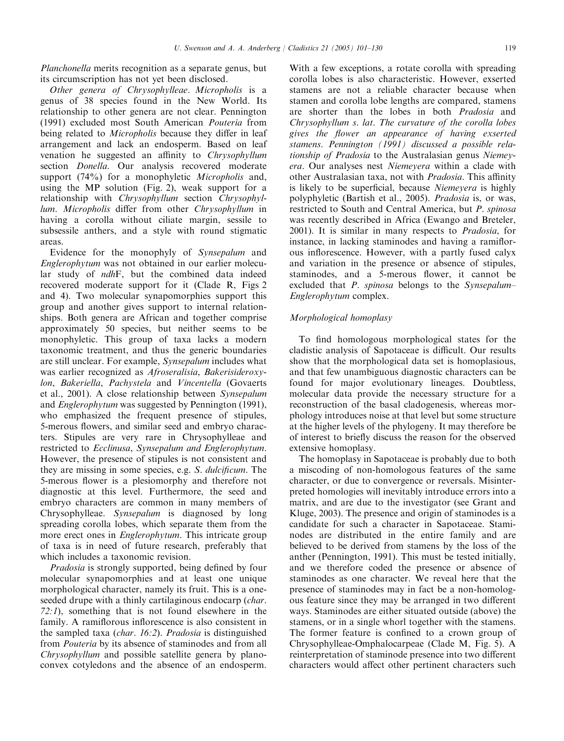Planchonella merits recognition as a separate genus, but

its circumscription has not yet been disclosed. Other genera of Chrysophylleae. Micropholis is a genus of 38 species found in the New World. Its relationship to other genera are not clear. Pennington (1991) excluded most South American Pouteria from being related to *Micropholis* because they differ in leaf arrangement and lack an endosperm. Based on leaf venation he suggested an affinity to Chrysophyllum section Donella. Our analysis recovered moderate support (74%) for a monophyletic *Micropholis* and, using the MP solution (Fig. 2), weak support for a relationship with Chrysophyllum section Chrysophyllum. Micropholis differ from other Chrysophyllum in having a corolla without ciliate margin, sessile to subsessile anthers, and a style with round stigmatic areas.

Evidence for the monophyly of Synsepalum and Englerophytum was not obtained in our earlier molecular study of ndhF, but the combined data indeed recovered moderate support for it (Clade R, Figs 2 and 4). Two molecular synapomorphies support this group and another gives support to internal relationships. Both genera are African and together comprise approximately 50 species, but neither seems to be monophyletic. This group of taxa lacks a modern taxonomic treatment, and thus the generic boundaries are still unclear. For example, Synsepalum includes what was earlier recognized as Afroseralisia, Bakerisideroxylon, Bakeriella, Pachystela and Vincentella (Govaerts et al., 2001). A close relationship between Synsepalum and Englerophytum was suggested by Pennington (1991), who emphasized the frequent presence of stipules, 5-merous flowers, and similar seed and embryo characters. Stipules are very rare in Chrysophylleae and restricted to Ecclinusa, Synsepalum and Englerophytum. However, the presence of stipules is not consistent and they are missing in some species, e.g. S. dulcificum. The 5-merous flower is a plesiomorphy and therefore not diagnostic at this level. Furthermore, the seed and embryo characters are common in many members of Chrysophylleae. Synsepalum is diagnosed by long spreading corolla lobes, which separate them from the more erect ones in Englerophytum. This intricate group of taxa is in need of future research, preferably that which includes a taxonomic revision.

Pradosia is strongly supported, being defined by four molecular synapomorphies and at least one unique morphological character, namely its fruit. This is a oneseeded drupe with a thinly cartilaginous endocarp (*char.* 72:1), something that is not found elsewhere in the family. A ramiflorous inflorescence is also consistent in the sampled taxa (char. 16:2). Pradosia is distinguished from Pouteria by its absence of staminodes and from all Chrysophyllum and possible satellite genera by planoconvex cotyledons and the absence of an endosperm. With a few exceptions, a rotate corolla with spreading corolla lobes is also characteristic. However, exserted stamens are not a reliable character because when stamen and corolla lobe lengths are compared, stamens are shorter than the lobes in both Pradosia and Chrysophyllum s. lat. The curvature of the corolla lobes gives the flower an appearance of having exserted stamens. Pennington (1991) discussed a possible relationship of Pradosia to the Australasian genus Niemeyera. Our analyses nest Niemeyera within a clade with other Australasian taxa, not with Pradosia. This affinity is likely to be superficial, because Niemeyera is highly polyphyletic (Bartish et al., 2005). Pradosia is, or was, restricted to South and Central America, but P. spinosa was recently described in Africa (Ewango and Breteler, 2001). It is similar in many respects to Pradosia, for instance, in lacking staminodes and having a ramiflorous inflorescence. However, with a partly fused calyx and variation in the presence or absence of stipules, staminodes, and a 5-merous flower, it cannot be excluded that P. spinosa belongs to the Synsepalum– Englerophytum complex.

## Morphological homoplasy

To find homologous morphological states for the cladistic analysis of Sapotaceae is difficult. Our results show that the morphological data set is homoplasious, and that few unambiguous diagnostic characters can be found for major evolutionary lineages. Doubtless, molecular data provide the necessary structure for a reconstruction of the basal cladogenesis, whereas morphology introduces noise at that level but some structure at the higher levels of the phylogeny. It may therefore be of interest to briefly discuss the reason for the observed extensive homoplasy.

The homoplasy in Sapotaceae is probably due to both a miscoding of non-homologous features of the same character, or due to convergence or reversals. Misinterpreted homologies will inevitably introduce errors into a matrix, and are due to the investigator (see Grant and Kluge, 2003). The presence and origin of staminodes is a candidate for such a character in Sapotaceae. Staminodes are distributed in the entire family and are believed to be derived from stamens by the loss of the anther (Pennington, 1991). This must be tested initially, and we therefore coded the presence or absence of staminodes as one character. We reveal here that the presence of staminodes may in fact be a non-homologous feature since they may be arranged in two different ways. Staminodes are either situated outside (above) the stamens, or in a single whorl together with the stamens. The former feature is confined to a crown group of Chrysophylleae-Omphalocarpeae (Clade M, Fig. 5). A reinterpretation of staminode presence into two different characters would affect other pertinent characters such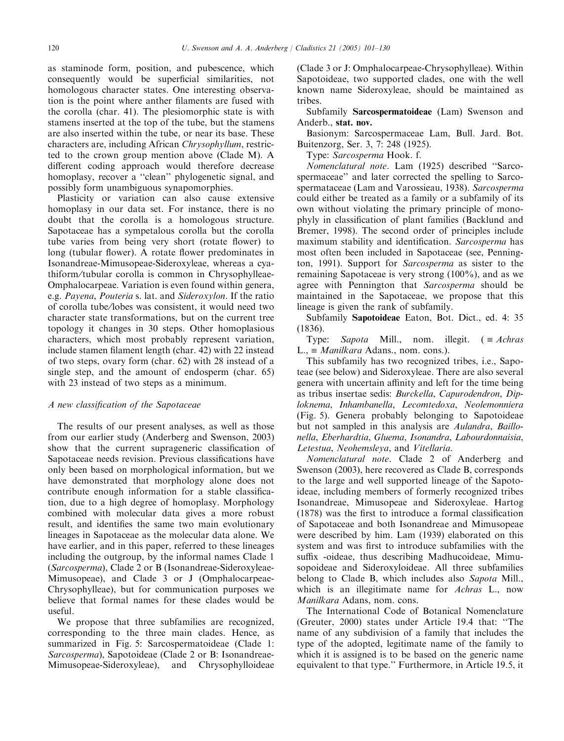as staminode form, position, and pubescence, which consequently would be superficial similarities, not homologous character states. One interesting observation is the point where anther filaments are fused with the corolla (char. 41). The plesiomorphic state is with stamens inserted at the top of the tube, but the stamens are also inserted within the tube, or near its base. These characters are, including African Chrysophyllum, restricted to the crown group mention above (Clade M). A different coding approach would therefore decrease homoplasy, recover a "clean" phylogenetic signal, and possibly form unambiguous synapomorphies.

Plasticity or variation can also cause extensive homoplasy in our data set. For instance, there is no doubt that the corolla is a homologous structure. Sapotaceae has a sympetalous corolla but the corolla tube varies from being very short (rotate flower) to long (tubular flower). A rotate flower predominates in Isonandreae-Mimusopeae-Sideroxyleae, whereas a cyathiform ⁄tubular corolla is common in Chrysophylleae-Omphalocarpeae. Variation is even found within genera, e.g. Payena, Pouteria s. lat. and Sideroxylon. If the ratio of corolla tube ⁄lobes was consistent, it would need two character state transformations, but on the current tree topology it changes in 30 steps. Other homoplasious characters, which most probably represent variation, include stamen filament length (char. 42) with 22 instead of two steps, ovary form (char. 62) with 28 instead of a single step, and the amount of endosperm (char. 65) with 23 instead of two steps as a minimum.

## A new classification of the Sapotaceae

The results of our present analyses, as well as those from our earlier study (Anderberg and Swenson, 2003) show that the current suprageneric classification of Sapotaceae needs revision. Previous classifications have only been based on morphological information, but we have demonstrated that morphology alone does not contribute enough information for a stable classification, due to a high degree of homoplasy. Morphology combined with molecular data gives a more robust result, and identifies the same two main evolutionary lineages in Sapotaceae as the molecular data alone. We have earlier, and in this paper, referred to these lineages including the outgroup, by the informal names Clade 1 (Sarcosperma), Clade 2 or B (Isonandreae-Sideroxyleae-Mimusopeae), and Clade 3 or J (Omphalocarpeae-Chrysophylleae), but for communication purposes we believe that formal names for these clades would be useful.

We propose that three subfamilies are recognized, corresponding to the three main clades. Hence, as summarized in Fig. 5: Sarcospermatoideae (Clade 1: Sarcosperma), Sapotoideae (Clade 2 or B: Isonandreae-Mimusopeae-Sideroxyleae), and Chrysophylloideae (Clade 3 or J: Omphalocarpeae-Chrysophylleae). Within Sapotoideae, two supported clades, one with the well known name Sideroxyleae, should be maintained as tribes.

Subfamily Sarcospermatoideae (Lam) Swenson and Anderb., stat. nov.

Basionym: Sarcospermaceae Lam, Bull. Jard. Bot. Buitenzorg, Ser. 3, 7: 248 (1925).

Type: Sarcosperma Hook. f.

Nomenclatural note. Lam (1925) described ''Sarcospermaceae'' and later corrected the spelling to Sarcospermataceae (Lam and Varossieau, 1938). Sarcosperma could either be treated as a family or a subfamily of its own without violating the primary principle of monophyly in classification of plant families (Backlund and Bremer, 1998). The second order of principles include maximum stability and identification. Sarcosperma has most often been included in Sapotaceae (see, Pennington, 1991). Support for Sarcosperma as sister to the remaining Sapotaceae is very strong (100%), and as we agree with Pennington that Sarcosperma should be maintained in the Sapotaceae, we propose that this lineage is given the rank of subfamily.

Subfamily Sapotoideae Eaton, Bot. Dict., ed. 4: 35 (1836).

Type: Sapota Mill., nom. illegit.  $( = Achras)$  $L_{\text{L}} \equiv$  *Manilkara* Adans., nom. cons.).

This subfamily has two recognized tribes, i.e., Sapoteae (see below) and Sideroxyleae. There are also several genera with uncertain affinity and left for the time being as tribus insertae sedis: Burckella, Capurodendron, Diploknema, Inhambanella, Lecomtedoxa, Neolemonniera (Fig. 5). Genera probably belonging to Sapotoideae but not sampled in this analysis are Aulandra, Baillonella, Eberhardtia, Gluema, Isonandra, Labourdonnaisia, Letestua, Neohemsleya, and Vitellaria.

Nomenclatural note. Clade 2 of Anderberg and Swenson (2003), here recovered as Clade B, corresponds to the large and well supported lineage of the Sapotoideae, including members of formerly recognized tribes Isonandreae, Mimusopeae and Sideroxyleae. Hartog (1878) was the first to introduce a formal classification of Sapotaceae and both Isonandreae and Mimusopeae were described by him. Lam (1939) elaborated on this system and was first to introduce subfamilies with the suffix -oideae, thus describing Madhucoideae, Mimusopoideae and Sideroxyloideae. All three subfamilies belong to Clade B, which includes also Sapota Mill., which is an illegitimate name for Achras L., now Manilkara Adans, nom. cons.

The International Code of Botanical Nomenclature (Greuter, 2000) states under Article 19.4 that: ''The name of any subdivision of a family that includes the type of the adopted, legitimate name of the family to which it is assigned is to be based on the generic name equivalent to that type.'' Furthermore, in Article 19.5, it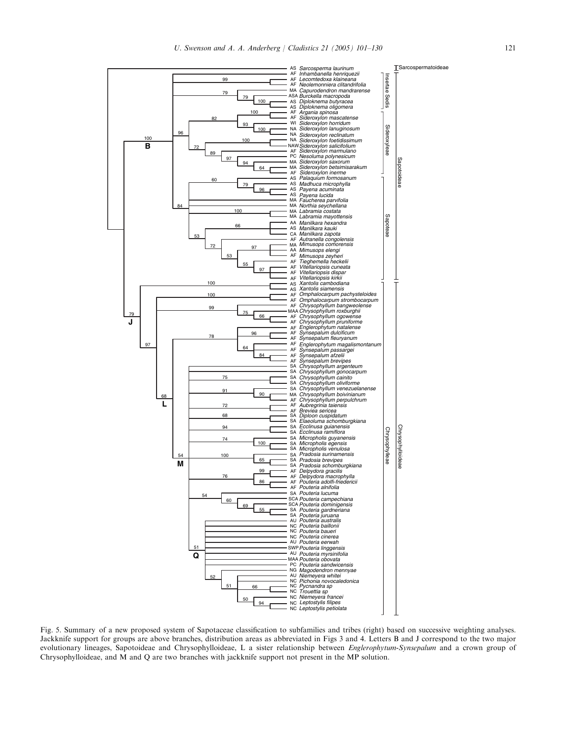

Fig. 5. Summary of a new proposed system of Sapotaceae classification to subfamilies and tribes (right) based on successive weighting analyses. Jackknife support for groups are above branches, distribution areas as abbreviated in Figs 3 and 4. Letters B and J correspond to the two major evolutionary lineages, Sapotoideae and Chrysophylloideae, L a sister relationship between Englerophytum-Synsepalum and a crown group of Chrysophylloideae, and M and Q are two branches with jackknife support not present in the MP solution.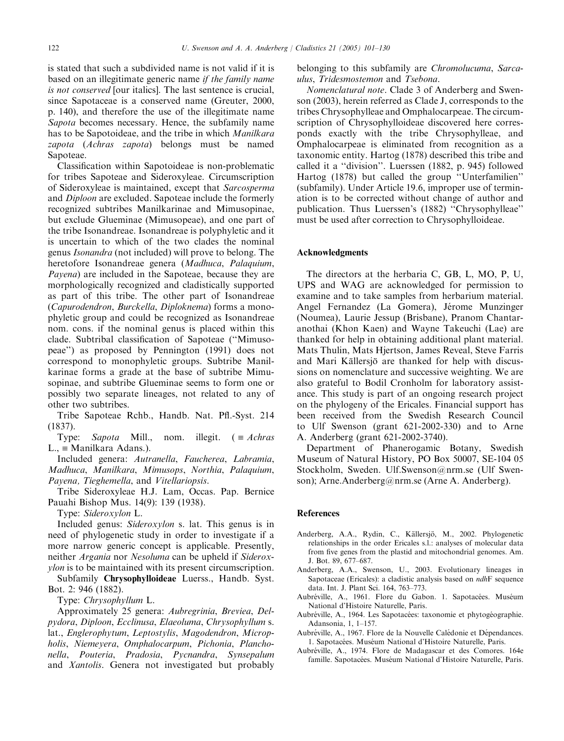is stated that such a subdivided name is not valid if it is based on an illegitimate generic name if the family name is not conserved [our italics]. The last sentence is crucial, since Sapotaceae is a conserved name (Greuter, 2000, p. 140), and therefore the use of the illegitimate name Sapota becomes necessary. Hence, the subfamily name has to be Sapotoideae, and the tribe in which Manilkara zapota (Achras zapota) belongs must be named Sapoteae.

Classification within Sapotoideae is non-problematic for tribes Sapoteae and Sideroxyleae. Circumscription of Sideroxyleae is maintained, except that Sarcosperma and Diploon are excluded. Sapoteae include the formerly recognized subtribes Manilkarinae and Mimusopinae, but exclude Glueminae (Mimusopeae), and one part of the tribe Isonandreae. Isonandreae is polyphyletic and it is uncertain to which of the two clades the nominal genus Isonandra (not included) will prove to belong. The heretofore Isonandreae genera (Madhuca, Palaquium, Payena) are included in the Sapoteae, because they are morphologically recognized and cladistically supported as part of this tribe. The other part of Isonandreae (Capurodendron, Burckella, Diploknema) forms a monophyletic group and could be recognized as Isonandreae nom. cons. if the nominal genus is placed within this clade. Subtribal classification of Sapoteae (''Mimusopeae'') as proposed by Pennington (1991) does not correspond to monophyletic groups. Subtribe Manilkarinae forms a grade at the base of subtribe Mimusopinae, and subtribe Glueminae seems to form one or possibly two separate lineages, not related to any of other two subtribes.

Tribe Sapoteae Rchb., Handb. Nat. Pfl.-Syst. 214 (1837).

Type: Sapota Mill., nom. illegit.  $( \equiv \text{Achras})$  $L_{.,} \equiv$  Manilkara Adans.).

Included genera: Autranella, Faucherea, Labramia, Madhuca, Manilkara, Mimusops, Northia, Palaquium, Payena, Tieghemella, and Vitellariopsis.

Tribe Sideroxyleae H.J. Lam, Occas. Pap. Bernice Pauahi Bishop Mus. 14(9): 139 (1938).

Type: Sideroxylon L.

Included genus: Sideroxylon s. lat. This genus is in need of phylogenetic study in order to investigate if a more narrow generic concept is applicable. Presently, neither Argania nor Nesoluma can be upheld if Sideroxylon is to be maintained with its present circumscription.

Subfamily Chrysophylloideae Luerss., Handb. Syst. Bot. 2: 946 (1882).

Type: Chrysophyllum L.

Approximately 25 genera: Aubregrinia, Breviea, Delpydora, Diploon, Ecclinusa, Elaeoluma, Chrysophyllum s. lat., Englerophytum, Leptostylis, Magodendron, Micropholis, Niemeyera, Omphalocarpum, Pichonia, Planchonella, Pouteria, Pradosia, Pycnandra, Synsepalum and Xantolis. Genera not investigated but probably belonging to this subfamily are *Chromolucuma*, Sarcaulus, Tridesmostemon and Tsebona.

Nomenclatural note. Clade 3 of Anderberg and Swenson (2003), herein referred as Clade J, corresponds to the tribes Chrysophylleae and Omphalocarpeae. The circumscription of Chrysophylloideae discovered here corresponds exactly with the tribe Chrysophylleae, and Omphalocarpeae is eliminated from recognition as a taxonomic entity. Hartog (1878) described this tribe and called it a ''division''. Luerssen (1882, p. 945) followed Hartog (1878) but called the group ''Unterfamilien'' (subfamily). Under Article 19.6, improper use of termination is to be corrected without change of author and publication. Thus Luerssen's (1882) ''Chrysophylleae'' must be used after correction to Chrysophylloideae.

#### Acknowledgments

The directors at the herbaria C, GB, L, MO, P, U, UPS and WAG are acknowledged for permission to examine and to take samples from herbarium material. Angel Fernandez (La Gomera), Jérome Munzinger (Noumea), Laurie Jessup (Brisbane), Pranom Chantaranothai (Khon Kaen) and Wayne Takeuchi (Lae) are thanked for help in obtaining additional plant material. Mats Thulin, Mats Hjertson, James Reveal, Steve Farris and Mari Källersjö are thanked for help with discussions on nomenclature and successive weighting. We are also grateful to Bodil Cronholm for laboratory assistance. This study is part of an ongoing research project on the phylogeny of the Ericales. Financial support has been received from the Swedish Research Council to Ulf Swenson (grant 621-2002-330) and to Arne A. Anderberg (grant 621-2002-3740).

Department of Phanerogamic Botany, Swedish Museum of Natural History, PO Box 50007, SE-104 05 Stockholm, Sweden. Ulf.Swenson@nrm.se (Ulf Swenson); Arne.Anderberg@nrm.se (Arne A. Anderberg).

## References

- Anderberg, A.A., Rydin, C., Källersjö, M., 2002. Phylogenetic relationships in the order Ericales s.l.: analyses of molecular data from five genes from the plastid and mitochondrial genomes. Am. J. Bot. 89, 677–687.
- Anderberg, A.A., Swenson, U., 2003. Evolutionary lineages in Sapotaceae (Ericales): a cladistic analysis based on ndhF sequence data. Int. J. Plant Sci. 164, 763–773.
- Aubréville, A., 1961. Flore du Gabon. 1. Sapotacées. Muséum National d'Histoire Naturelle, Paris.
- Aubréville, A., 1964. Les Sapotacées: taxonomie et phytogéographie. Adansonia, 1, 1–157.
- Aubréville, A., 1967. Flore de la Nouvelle Calédonie et Dépendances. 1. Sapotacées. Muséum National d'Histoire Naturelle, Paris.
- Aubréville, A., 1974. Flore de Madagascar et des Comores. 164e famille. Sapotacées. Muséum National d'Histoire Naturelle, Paris.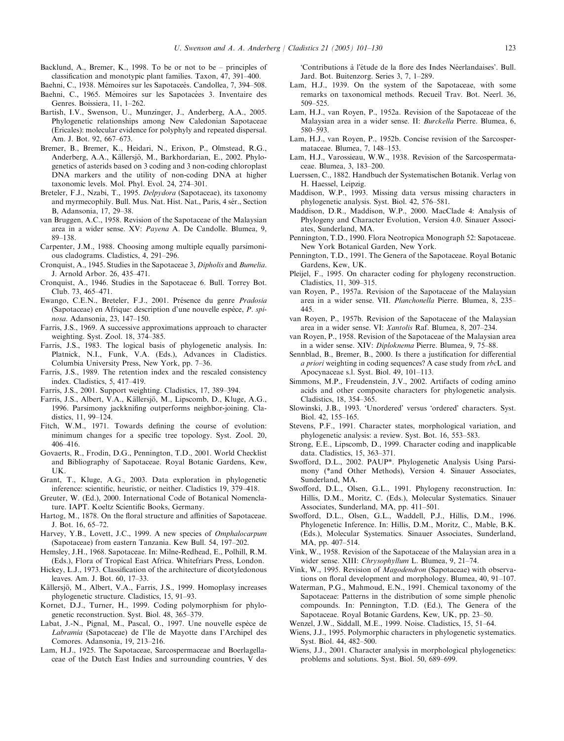- Backlund, A., Bremer, K., 1998. To be or not to be principles of classification and monotypic plant families. Taxon, 47, 391–400.
- Baehni, C., 1938. Mémoires sur les Sapotaceés. Candollea, 7, 394–508. Baehni, C., 1965. Mémoires sur les Sapotacées 3. Inventaire des Genres. Boissiera, 11, 1–262.
- Bartish, I.V., Swenson, U., Munzinger, J., Anderberg, A.A., 2005. Phylogenetic relationships among New Caledonian Sapotaceae (Ericales): molecular evidence for polyphyly and repeated dispersal. Am. J. Bot. 92, 667–673.
- Bremer, B., Bremer, K., Heidari, N., Erixon, P., Olmstead, R.G., Anderberg, A.A., Källersjö, M., Barkhordarian, E., 2002. Phylogenetics of asterids based on 3 coding and 3 non-coding chloroplast DNA markers and the utility of non-coding DNA at higher taxonomic levels. Mol. Phyl. Evol. 24, 274–301.
- Breteler, F.J., Nzabi, T., 1995. Delpydora (Sapotaceae), its taxonomy and myrmecophily. Bull. Mus. Nat. Hist. Nat., Paris, 4 sér., Section B, Adansonia, 17, 29–38.
- van Bruggen, A.C., 1958. Revision of the Sapotaceae of the Malaysian area in a wider sense. XV: Payena A. De Candolle. Blumea, 9, 89–138.
- Carpenter, J.M., 1988. Choosing among multiple equally parsimonious cladograms. Cladistics, 4, 291–296.
- Cronquist, A., 1945. Studies in the Sapotaceae 3, Dipholis and Bumelia. J. Arnold Arbor. 26, 435–471.
- Cronquist, A., 1946. Studies in the Sapotaceae 6. Bull. Torrey Bot. Club. 73, 465–471.
- Ewango, C.E.N., Breteler, F.J., 2001. Présence du genre Pradosia (Sapotaceae) en Afrique: description d'une nouvelle espèce,  $P$ , spinosa. Adansonia, 23, 147–150.
- Farris, J.S., 1969. A successive approximations approach to character weighting. Syst. Zool. 18, 374–385.
- Farris, J.S., 1983. The logical basis of phylogenetic analysis. In: Platnick, N.I., Funk, V.A. (Eds.), Advances in Cladistics. Columbia University Press, New York, pp. 7–36.
- Farris, J.S., 1989. The retention index and the rescaled consistency index. Cladistics, 5, 417–419.
- Farris, J.S., 2001. Support weighting. Cladistics, 17, 389–394.
- Farris, J.S., Albert, V.A., Källersjö, M., Lipscomb, D., Kluge, A.G., 1996. Parsimony jackknifing outperforms neighbor-joining. Cladistics, 11, 99–124.
- Fitch, W.M., 1971. Towards defining the course of evolution: minimum changes for a specific tree topology. Syst. Zool. 20, 406–416.
- Govaerts, R., Frodin, D.G., Pennington, T.D., 2001. World Checklist and Bibliography of Sapotaceae. Royal Botanic Gardens, Kew, UK.
- Grant, T., Kluge, A.G., 2003. Data exploration in phylogenetic inference: scientific, heuristic, or neither. Cladistics 19, 379–418.
- Greuter, W. (Ed.), 2000. International Code of Botanical Nomenclature. IAPT. Koeltz Scientific Books, Germany.
- Hartog, M., 1878. On the floral structure and affinities of Sapotaceae. J. Bot. 16, 65–72.
- Harvey, Y.B., Lovett, J.C., 1999. A new species of Omphalocarpum (Sapotaceae) from eastern Tanzania. Kew Bull. 54, 197–202.
- Hemsley, J.H., 1968. Sapotaceae. In: Milne-Redhead, E., Polhill, R.M. (Eds.), Flora of Tropical East Africa. Whitefriars Press, London.
- Hickey, L.J., 1973. Classification of the architecture of dicotyledonous leaves. Am. J. Bot. 60, 17–33.
- Källersjö, M., Albert, V.A., Farris, J.S., 1999. Homoplasy increases phylogenetic structure. Cladistics, 15, 91–93.
- Kornet, D.J., Turner, H., 1999. Coding polymorphism for phylogenetic reconstruction. Syst. Biol. 48, 365–379.
- Labat, J.-N., Pignal, M., Pascal, O., 1997. Une nouvelle espèce de Labramia (Sapotaceae) de I'lle de Mayotte dans I'Archipel des Comores. Adansonia, 19, 213–216.
- Lam, H.J., 1925. The Sapotaceae, Sarcospermaceae and Boerlagellaceae of the Dutch East Indies and surrounding countries, V des

'Contributions à l'étude de la flore des Indes Néerlandaises'. Bull. Jard. Bot. Buitenzorg. Series 3, 7, 1–289.

- Lam, H.J., 1939. On the system of the Sapotaceae, with some remarks on taxonomical methods. Recueil Trav. Bot. Neerl. 36, 509–525.
- Lam, H.J., van Royen, P., 1952a. Revision of the Sapotaceae of the Malaysian area in a wider sense. II: Burckella Pierre. Blumea, 6, 580–593.
- Lam, H.J., van Royen, P., 1952b. Concise revision of the Sarcospermataceae. Blumea, 7, 148–153.
- Lam, H.J., Varossieau, W.W., 1938. Revision of the Sarcospermataceae. Blumea, 3, 183–200.
- Luerssen, C., 1882. Handbuch der Systematischen Botanik. Verlag von H. Haessel, Leipzig.
- Maddison, W.P., 1993. Missing data versus missing characters in phylogenetic analysis. Syst. Biol. 42, 576–581.
- Maddison, D.R., Maddison, W.P., 2000. MacClade 4: Analysis of Phylogeny and Character Evolution, Version 4.0. Sinauer Associates, Sunderland, MA.
- Pennington, T.D., 1990. Flora Neotropica Monograph 52: Sapotaceae. New York Botanical Garden, New York.
- Pennington, T.D., 1991. The Genera of the Sapotaceae. Royal Botanic Gardens, Kew, UK.
- Pleijel, F., 1995. On character coding for phylogeny reconstruction. Cladistics, 11, 309–315.
- van Royen, P., 1957a. Revision of the Sapotaceae of the Malaysian area in a wider sense. VII. Planchonella Pierre. Blumea, 8, 235– 445.
- van Royen, P., 1957b. Revision of the Sapotaceae of the Malaysian area in a wider sense. VI: Xantolis Raf. Blumea, 8, 207–234.
- van Royen, P., 1958. Revision of the Sapotaceae of the Malaysian area in a wider sense. XIV: Diploknema Pierre. Blumea, 9, 75–88.
- Sennblad, B., Bremer, B., 2000. Is there a justification for differential a priori weighting in coding sequences? A case study from rbcL and Apocynaceae s.l. Syst. Biol. 49, 101–113.
- Simmons, M.P., Freudenstein, J.V., 2002. Artifacts of coding amino acids and other composite characters for phylogenetic analysis. Cladistics, 18, 354–365.
- Slowinski, J.B., 1993. 'Unordered' versus 'ordered' characters. Syst. Biol. 42, 155–165.
- Stevens, P.F., 1991. Character states, morphological variation, and phylogenetic analysis: a review. Syst. Bot. 16, 553–583.
- Strong, E.E., Lipscomb, D., 1999. Character coding and inapplicable data. Cladistics, 15, 363–371.
- Swofford, D.L., 2002. PAUP\*. Phylogenetic Analysis Using Parsimony (\*and Other Methods), Version 4. Sinauer Associates, Sunderland, MA.
- Swofford, D.L., Olsen, G.L., 1991. Phylogeny reconstruction. In: Hillis, D.M., Moritz, C. (Eds.), Molecular Systematics. Sinauer Associates, Sunderland, MA, pp. 411–501.
- Swofford, D.L., Olsen, G.L., Waddell, P.J., Hillis, D.M., 1996. Phylogenetic Inference. In: Hillis, D.M., Moritz, C., Mable, B.K. (Eds.), Molecular Systematics. Sinauer Associates, Sunderland, MA, pp. 407–514.
- Vink, W., 1958. Revision of the Sapotaceae of the Malaysian area in a wider sense. XIII: Chrysophyllum L. Blumea, 9, 21–74.
- Vink, W., 1995. Revision of Magodendron (Sapotaceae) with observations on floral development and morphology. Blumea, 40, 91–107.
- Waterman, P.G., Mahmoud, E.N., 1991. Chemical taxonomy of the Sapotaceae: Patterns in the distribution of some simple phenolic compounds. In: Pennington, T.D. (Ed.), The Genera of the Sapotaceae. Royal Botanic Gardens, Kew, UK, pp. 23–50.
- Wenzel, J.W., Siddall, M.E., 1999. Noise. Cladistics, 15, 51–64.
- Wiens, J.J., 1995. Polymorphic characters in phylogenetic systematics. Syst. Biol. 44, 482–500.
- Wiens, J.J., 2001. Character analysis in morphological phylogenetics: problems and solutions. Syst. Biol. 50, 689–699.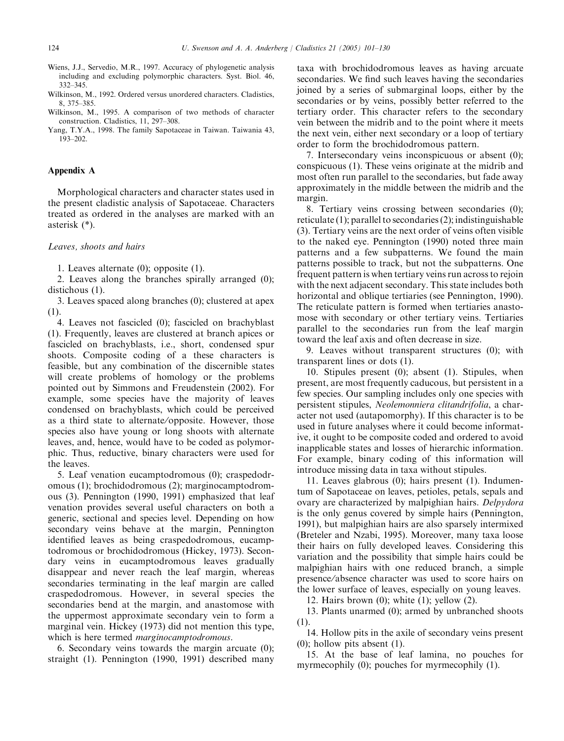- Wiens, J.J., Servedio, M.R., 1997. Accuracy of phylogenetic analysis including and excluding polymorphic characters. Syst. Biol. 46, 332–345.
- Wilkinson, M., 1992. Ordered versus unordered characters. Cladistics, 8, 375–385.
- Wilkinson, M., 1995. A comparison of two methods of character construction. Cladistics, 11, 297–308.
- Yang, T.Y.A., 1998. The family Sapotaceae in Taiwan. Taiwania 43, 193–202.

# Appendix A

Morphological characters and character states used in the present cladistic analysis of Sapotaceae. Characters treated as ordered in the analyses are marked with an asterisk (\*).

## Leaves, shoots and hairs

1. Leaves alternate (0); opposite (1).

2. Leaves along the branches spirally arranged (0); distichous (1).

3. Leaves spaced along branches (0); clustered at apex (1).

4. Leaves not fascicled (0); fascicled on brachyblast (1). Frequently, leaves are clustered at branch apices or fascicled on brachyblasts, i.e., short, condensed spur shoots. Composite coding of a these characters is feasible, but any combination of the discernible states will create problems of homology or the problems pointed out by Simmons and Freudenstein (2002). For example, some species have the majority of leaves condensed on brachyblasts, which could be perceived as a third state to alternate ⁄opposite. However, those species also have young or long shoots with alternate leaves, and, hence, would have to be coded as polymorphic. Thus, reductive, binary characters were used for the leaves.

5. Leaf venation eucamptodromous (0); craspedodromous (1); brochidodromous (2); marginocamptodromous (3). Pennington (1990, 1991) emphasized that leaf venation provides several useful characters on both a generic, sectional and species level. Depending on how secondary veins behave at the margin, Pennington identified leaves as being craspedodromous, eucamptodromous or brochidodromous (Hickey, 1973). Secondary veins in eucamptodromous leaves gradually disappear and never reach the leaf margin, whereas secondaries terminating in the leaf margin are called craspedodromous. However, in several species the secondaries bend at the margin, and anastomose with the uppermost approximate secondary vein to form a marginal vein. Hickey (1973) did not mention this type, which is here termed *marginocamptodromous*.

6. Secondary veins towards the margin arcuate (0); straight (1). Pennington (1990, 1991) described many

taxa with brochidodromous leaves as having arcuate secondaries. We find such leaves having the secondaries joined by a series of submarginal loops, either by the secondaries or by veins, possibly better referred to the tertiary order. This character refers to the secondary vein between the midrib and to the point where it meets the next vein, either next secondary or a loop of tertiary order to form the brochidodromous pattern.

7. Intersecondary veins inconspicuous or absent (0); conspicuous (1). These veins originate at the midrib and most often run parallel to the secondaries, but fade away approximately in the middle between the midrib and the margin.

8. Tertiary veins crossing between secondaries (0); reticulate (1); parallel to secondaries (2); indistinguishable (3). Tertiary veins are the next order of veins often visible to the naked eye. Pennington (1990) noted three main patterns and a few subpatterns. We found the main patterns possible to track, but not the subpatterns. One frequent pattern is when tertiary veins run across to rejoin with the next adjacent secondary. This state includes both horizontal and oblique tertiaries (see Pennington, 1990). The reticulate pattern is formed when tertiaries anastomose with secondary or other tertiary veins. Tertiaries parallel to the secondaries run from the leaf margin toward the leaf axis and often decrease in size.

9. Leaves without transparent structures (0); with transparent lines or dots (1).

10. Stipules present (0); absent (1). Stipules, when present, are most frequently caducous, but persistent in a few species. Our sampling includes only one species with persistent stipules, Neolemonniera clitandrifolia, a character not used (autapomorphy). If this character is to be used in future analyses where it could become informative, it ought to be composite coded and ordered to avoid inapplicable states and losses of hierarchic information. For example, binary coding of this information will introduce missing data in taxa without stipules.

11. Leaves glabrous (0); hairs present (1). Indumentum of Sapotaceae on leaves, petioles, petals, sepals and ovary are characterized by malpighian hairs. Delpydora is the only genus covered by simple hairs (Pennington, 1991), but malpighian hairs are also sparsely intermixed (Breteler and Nzabi, 1995). Moreover, many taxa loose their hairs on fully developed leaves. Considering this variation and the possibility that simple hairs could be malpighian hairs with one reduced branch, a simple presence ⁄absence character was used to score hairs on the lower surface of leaves, especially on young leaves.

12. Hairs brown (0); white (1); yellow (2).

13. Plants unarmed (0); armed by unbranched shoots (1).

14. Hollow pits in the axile of secondary veins present  $(0)$ ; hollow pits absent  $(1)$ .

15. At the base of leaf lamina, no pouches for myrmecophily (0); pouches for myrmecophily (1).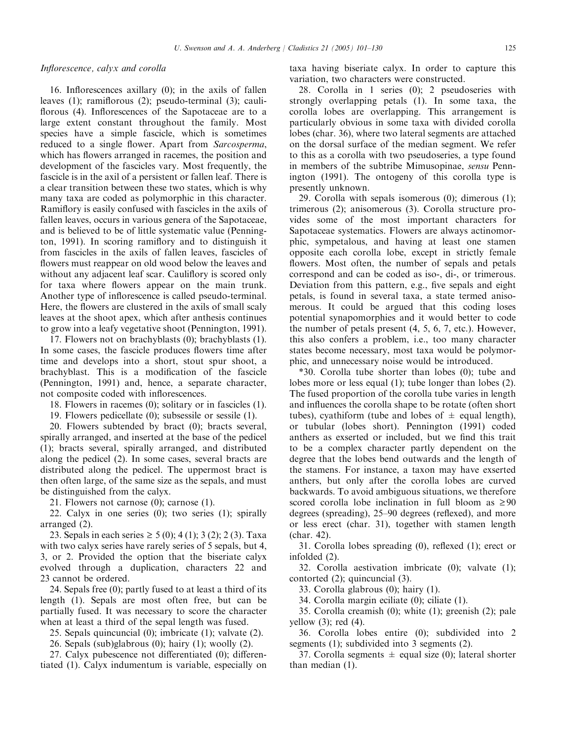#### Inflorescence, calyx and corolla

16. Inflorescences axillary (0); in the axils of fallen leaves (1); ramiflorous (2); pseudo-terminal (3); cauliflorous (4). Inflorescences of the Sapotaceae are to a large extent constant throughout the family. Most species have a simple fascicle, which is sometimes reduced to a single flower. Apart from Sarcosperma, which has flowers arranged in racemes, the position and development of the fascicles vary. Most frequently, the fascicle is in the axil of a persistent or fallen leaf. There is a clear transition between these two states, which is why many taxa are coded as polymorphic in this character. Ramiflory is easily confused with fascicles in the axils of fallen leaves, occurs in various genera of the Sapotaceae, and is believed to be of little systematic value (Pennington, 1991). In scoring ramiflory and to distinguish it from fascicles in the axils of fallen leaves, fascicles of flowers must reappear on old wood below the leaves and without any adjacent leaf scar. Cauliflory is scored only for taxa where flowers appear on the main trunk. Another type of inflorescence is called pseudo-terminal. Here, the flowers are clustered in the axils of small scaly leaves at the shoot apex, which after anthesis continues to grow into a leafy vegetative shoot (Pennington, 1991).

17. Flowers not on brachyblasts (0); brachyblasts (1). In some cases, the fascicle produces flowers time after time and develops into a short, stout spur shoot, a brachyblast. This is a modification of the fascicle (Pennington, 1991) and, hence, a separate character, not composite coded with inflorescences.

18. Flowers in racemes (0); solitary or in fascicles (1).

19. Flowers pedicellate (0); subsessile or sessile (1).

20. Flowers subtended by bract (0); bracts several, spirally arranged, and inserted at the base of the pedicel (1); bracts several, spirally arranged, and distributed along the pedicel (2). In some cases, several bracts are distributed along the pedicel. The uppermost bract is then often large, of the same size as the sepals, and must be distinguished from the calyx.

21. Flowers not carnose (0); carnose (1).

22. Calyx in one series (0); two series (1); spirally arranged (2).

23. Sepals in each series  $\ge 5 (0)$ ; 4 (1); 3 (2); 2 (3). Taxa with two calyx series have rarely series of 5 sepals, but 4, 3, or 2. Provided the option that the biseriate calyx evolved through a duplication, characters 22 and 23 cannot be ordered.

24. Sepals free (0); partly fused to at least a third of its length (1). Sepals are most often free, but can be partially fused. It was necessary to score the character when at least a third of the sepal length was fused.

25. Sepals quincuncial (0); imbricate (1); valvate (2).

26. Sepals (sub)glabrous (0); hairy (1); woolly (2).

27. Calyx pubescence not differentiated (0); differentiated (1). Calyx indumentum is variable, especially on taxa having biseriate calyx. In order to capture this variation, two characters were constructed.

28. Corolla in 1 series (0); 2 pseudoseries with strongly overlapping petals (1). In some taxa, the corolla lobes are overlapping. This arrangement is particularly obvious in some taxa with divided corolla lobes (char. 36), where two lateral segments are attached on the dorsal surface of the median segment. We refer to this as a corolla with two pseudoseries, a type found in members of the subtribe Mimusopinae, sensu Pennington (1991). The ontogeny of this corolla type is presently unknown.

29. Corolla with sepals isomerous (0); dimerous (1); trimerous (2); anisomerous (3). Corolla structure provides some of the most important characters for Sapotaceae systematics. Flowers are always actinomorphic, sympetalous, and having at least one stamen opposite each corolla lobe, except in strictly female flowers. Most often, the number of sepals and petals correspond and can be coded as iso-, di-, or trimerous. Deviation from this pattern, e.g., five sepals and eight petals, is found in several taxa, a state termed anisomerous. It could be argued that this coding loses potential synapomorphies and it would better to code the number of petals present (4, 5, 6, 7, etc.). However, this also confers a problem, i.e., too many character states become necessary, most taxa would be polymorphic, and unnecessary noise would be introduced.

\*30. Corolla tube shorter than lobes (0); tube and lobes more or less equal (1); tube longer than lobes (2). The fused proportion of the corolla tube varies in length and influences the corolla shape to be rotate (often short tubes), cyathiform (tube and lobes of  $\pm$  equal length), or tubular (lobes short). Pennington (1991) coded anthers as exserted or included, but we find this trait to be a complex character partly dependent on the degree that the lobes bend outwards and the length of the stamens. For instance, a taxon may have exserted anthers, but only after the corolla lobes are curved backwards. To avoid ambiguous situations, we therefore scored corolla lobe inclination in full bloom as  $\geq 90$ degrees (spreading), 25–90 degrees (reflexed), and more or less erect (char. 31), together with stamen length (char. 42).

31. Corolla lobes spreading (0), reflexed (1); erect or infolded (2).

32. Corolla aestivation imbricate (0); valvate (1); contorted (2); quincuncial (3).

33. Corolla glabrous (0); hairy (1).

34. Corolla margin eciliate (0); ciliate (1).

35. Corolla creamish (0); white (1); greenish (2); pale yellow (3); red (4).

36. Corolla lobes entire (0); subdivided into 2 segments (1); subdivided into 3 segments (2).

37. Corolla segments  $\pm$  equal size (0); lateral shorter than median (1).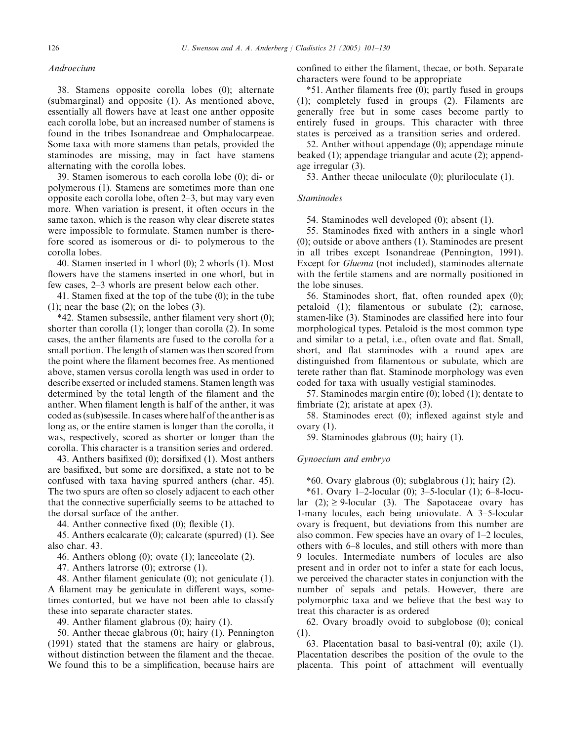#### Androecium

38. Stamens opposite corolla lobes (0); alternate (submarginal) and opposite (1). As mentioned above, essentially all flowers have at least one anther opposite each corolla lobe, but an increased number of stamens is found in the tribes Isonandreae and Omphalocarpeae. Some taxa with more stamens than petals, provided the staminodes are missing, may in fact have stamens alternating with the corolla lobes.

39. Stamen isomerous to each corolla lobe (0); di- or polymerous (1). Stamens are sometimes more than one opposite each corolla lobe, often 2–3, but may vary even more. When variation is present, it often occurs in the same taxon, which is the reason why clear discrete states were impossible to formulate. Stamen number is therefore scored as isomerous or di- to polymerous to the corolla lobes.

40. Stamen inserted in 1 whorl (0); 2 whorls (1). Most flowers have the stamens inserted in one whorl, but in few cases, 2–3 whorls are present below each other.

41. Stamen fixed at the top of the tube (0); in the tube (1); near the base  $(2)$ ; on the lobes  $(3)$ .

\*42. Stamen subsessile, anther filament very short (0); shorter than corolla (1); longer than corolla (2). In some cases, the anther filaments are fused to the corolla for a small portion. The length of stamen was then scored from the point where the filament becomes free. As mentioned above, stamen versus corolla length was used in order to describe exserted or included stamens. Stamen length was determined by the total length of the filament and the anther. When filament length is half of the anther, it was coded as (sub)sessile. In cases where half of the anther is as long as, or the entire stamen is longer than the corolla, it was, respectively, scored as shorter or longer than the corolla. This character is a transition series and ordered.

43. Anthers basifixed (0); dorsifixed (1). Most anthers are basifixed, but some are dorsifixed, a state not to be confused with taxa having spurred anthers (char. 45). The two spurs are often so closely adjacent to each other that the connective superficially seems to be attached to the dorsal surface of the anther.

44. Anther connective fixed (0); flexible (1).

45. Anthers ecalcarate (0); calcarate (spurred) (1). See also char. 43.

46. Anthers oblong (0); ovate (1); lanceolate (2).

47. Anthers latrorse (0); extrorse (1).

48. Anther filament geniculate (0); not geniculate (1). A filament may be geniculate in different ways, sometimes contorted, but we have not been able to classify these into separate character states.

49. Anther filament glabrous (0); hairy (1).

50. Anther thecae glabrous (0); hairy (1). Pennington (1991) stated that the stamens are hairy or glabrous, without distinction between the filament and the thecae. We found this to be a simplification, because hairs are confined to either the filament, thecae, or both. Separate characters were found to be appropriate

\*51. Anther filaments free (0); partly fused in groups (1); completely fused in groups (2). Filaments are generally free but in some cases become partly to entirely fused in groups. This character with three states is perceived as a transition series and ordered.

52. Anther without appendage (0); appendage minute beaked (1); appendage triangular and acute (2); appendage irregular (3).

53. Anther thecae uniloculate (0); pluriloculate (1).

## Staminodes

54. Staminodes well developed (0); absent (1).

55. Staminodes fixed with anthers in a single whorl (0); outside or above anthers (1). Staminodes are present in all tribes except Isonandreae (Pennington, 1991). Except for Gluema (not included), staminodes alternate with the fertile stamens and are normally positioned in the lobe sinuses.

56. Staminodes short, flat, often rounded apex (0); petaloid (1); filamentous or subulate (2); carnose, stamen-like (3). Staminodes are classified here into four morphological types. Petaloid is the most common type and similar to a petal, i.e., often ovate and flat. Small, short, and flat staminodes with a round apex are distinguished from filamentous or subulate, which are terete rather than flat. Staminode morphology was even coded for taxa with usually vestigial staminodes.

57. Staminodes margin entire (0); lobed (1); dentate to fimbriate (2); aristate at apex (3).

58. Staminodes erect (0); inflexed against style and ovary (1).

59. Staminodes glabrous (0); hairy (1).

#### Gynoecium and embryo

\*60. Ovary glabrous (0); subglabrous (1); hairy (2).

\*61. Ovary 1–2-locular (0); 3–5-locular (1); 6–8-locular  $(2)$ ;  $\geq$  9-locular  $(3)$ . The Sapotaceae ovary has 1-many locules, each being uniovulate. A 3–5-locular ovary is frequent, but deviations from this number are also common. Few species have an ovary of 1–2 locules, others with 6–8 locules, and still others with more than 9 locules. Intermediate numbers of locules are also present and in order not to infer a state for each locus, we perceived the character states in conjunction with the number of sepals and petals. However, there are polymorphic taxa and we believe that the best way to treat this character is as ordered

62. Ovary broadly ovoid to subglobose (0); conical (1).

63. Placentation basal to basi-ventral (0); axile (1). Placentation describes the position of the ovule to the placenta. This point of attachment will eventually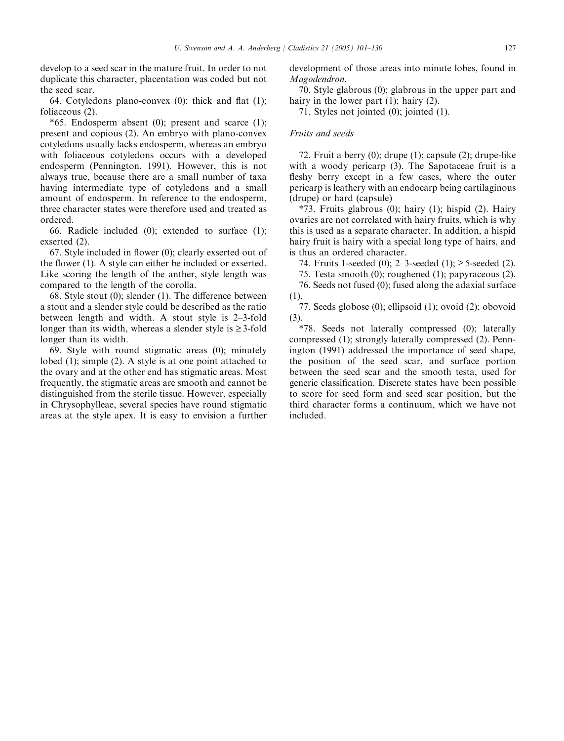develop to a seed scar in the mature fruit. In order to not duplicate this character, placentation was coded but not the seed scar.

64. Cotyledons plano-convex  $(0)$ ; thick and flat  $(1)$ ; foliaceous (2).

\*65. Endosperm absent (0); present and scarce (1); present and copious (2). An embryo with plano-convex cotyledons usually lacks endosperm, whereas an embryo with foliaceous cotyledons occurs with a developed endosperm (Pennington, 1991). However, this is not always true, because there are a small number of taxa having intermediate type of cotyledons and a small amount of endosperm. In reference to the endosperm, three character states were therefore used and treated as ordered.

66. Radicle included (0); extended to surface (1); exserted (2).

67. Style included in flower (0); clearly exserted out of the flower (1). A style can either be included or exserted. Like scoring the length of the anther, style length was compared to the length of the corolla.

68. Style stout (0); slender (1). The difference between a stout and a slender style could be described as the ratio between length and width. A stout style is 2–3-fold longer than its width, whereas a slender style is  $\geq$  3-fold longer than its width.

69. Style with round stigmatic areas (0); minutely lobed (1); simple (2). A style is at one point attached to the ovary and at the other end has stigmatic areas. Most frequently, the stigmatic areas are smooth and cannot be distinguished from the sterile tissue. However, especially in Chrysophylleae, several species have round stigmatic areas at the style apex. It is easy to envision a further development of those areas into minute lobes, found in Magodendron.

70. Style glabrous (0); glabrous in the upper part and hairy in the lower part (1); hairy (2).

71. Styles not jointed (0); jointed (1).

## Fruits and seeds

72. Fruit a berry (0); drupe (1); capsule (2); drupe-like with a woody pericarp (3). The Sapotaceae fruit is a fleshy berry except in a few cases, where the outer pericarp is leathery with an endocarp being cartilaginous (drupe) or hard (capsule)

\*73. Fruits glabrous (0); hairy (1); hispid (2). Hairy ovaries are not correlated with hairy fruits, which is why this is used as a separate character. In addition, a hispid hairy fruit is hairy with a special long type of hairs, and is thus an ordered character.

74. Fruits 1-seeded (0); 2–3-seeded (1);  $\geq$  5-seeded (2).

75. Testa smooth (0); roughened (1); papyraceous (2). 76. Seeds not fused (0); fused along the adaxial surface

(1).

77. Seeds globose (0); ellipsoid (1); ovoid (2); obovoid (3).

\*78. Seeds not laterally compressed (0); laterally compressed (1); strongly laterally compressed (2). Pennington (1991) addressed the importance of seed shape, the position of the seed scar, and surface portion between the seed scar and the smooth testa, used for generic classification. Discrete states have been possible to score for seed form and seed scar position, but the third character forms a continuum, which we have not included.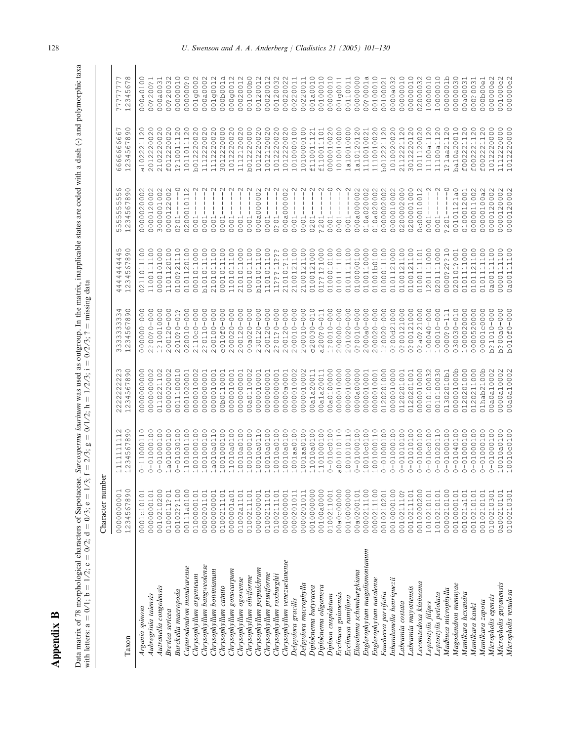| г<br>Ξ |
|--------|
| ï      |
|        |
| ì<br>r |
|        |
|        |

| :         |                               |
|-----------|-------------------------------|
|           |                               |
|           |                               |
|           |                               |
|           |                               |
| J.        |                               |
| 1<br>ċ    |                               |
|           |                               |
| j         |                               |
|           |                               |
|           |                               |
|           |                               |
| í         |                               |
|           |                               |
|           |                               |
|           |                               |
| d         |                               |
|           |                               |
| ł         |                               |
|           |                               |
| ì<br>ĺ    | $\frac{1}{2}$                 |
|           |                               |
| ١         |                               |
|           |                               |
|           | I                             |
| ļ         | ٢                             |
|           | ١                             |
| ׇ֘֒<br>l  |                               |
|           | .<br>.<br>I                   |
|           | ٢                             |
| j<br>j    | i<br>١                        |
|           |                               |
|           | $\parallel$<br>l              |
|           | Ì<br>Ś                        |
|           |                               |
| i<br>j    |                               |
| Ĭ         |                               |
|           | $\parallel$<br>j<br>ı         |
| ١         | ŝ                             |
| j         | $\overline{\phantom{a}}$<br>ì |
| ì<br>i    | $\mathbb{I}$                  |
| d         | ر.<br>ب                       |
| eae.<br>į | ì                             |
| j         | $\mathsf{II}$                 |
|           | ì                             |
|           |                               |
|           | I                             |
|           | ì<br>ׇׇ֦֘֝֬֝                  |
|           | ֕                             |
|           | I<br>l                        |
|           |                               |
|           | į                             |
|           | I<br>l                        |
|           |                               |
|           |                               |
|           | I<br>I                        |
|           |                               |
|           | ١                             |
|           |                               |
| Ï         |                               |

|                               | Character number         |                          |                         |                          |                          |                                          |                         |                     |
|-------------------------------|--------------------------|--------------------------|-------------------------|--------------------------|--------------------------|------------------------------------------|-------------------------|---------------------|
| Taxon                         | 1234567890<br>0000000000 | 1111111112<br>1234567890 | 2222222223<br>234567890 | 1234567890<br>3333333334 | 4444444445<br>1234567890 | 555555556<br>1234567890                  | 1234567890<br>666666667 | 12345678<br>LLLLLLL |
| Argania spinosa               | 0001c10101               | $-11000110$              | 000000000               | 000000000000             | 211011100                | 0000020002                               | a10222112               | 000a010             |
| Aubregrinia taiensis          | 00000000101              | 0-01000100               | 0000000002              | 220020-0000              | 1100111100               | 0000120002                               | $\circ$<br>201222002    | 0022002             |
| Autranella congolensis        | 0010210200               | 0-01000100               | 0110221102              | 1210010000               | 0000101000               | 30000001002                              | $\circ$<br>210222002    | 000a0031            |
| Breviea sericea               | 0100011201               | 1a01000100               | 0000020002              | 200120-000               | 1101120100               | 0000122002                               | $\circ$<br>f01222002    | 00?20032            |
| Burckella macropoda           | 0010222100               | 0-01030100               | 0011100010              | 2010?0-01?               | 0100?21110               | $0 - - - - - - 0$                        | $\circ$<br>1?1001112    | 00000010            |
| Capurodendron mandrarense     | 001111a0100              | 1101001100               | 0001020001              | 020010-000               | 0101120100               | 0200010112                               | $\circ$<br>101101112    | 00000020            |
| Chrysophyllum argenteum       | 0100000101               | 1001000100               | 0000010002              | 2110c0-000               | 0001011000               | $\frac{1}{1}$<br>0001                    | $\circ$<br>b01222002    | 001q0002            |
| Chrysophyllum bangweolense    | 0000201101               | 1001000100               | 0000000001              | 2? 0110-000              | b101011100               | $-2$<br>T<br>$\mathsf I$<br>0001         | 1112220020              | 000a0002            |
| Chrysophyllum boivinianum     | 0000000001               | 1a010a0110               | 0000010001              | 200100-000               | 2101011100               | $-2$<br>$\mathsf I$<br>0001              | 1112220020              | 001g0012            |
| Chrysophyllum cainito         | 0100211101               | 1001000100               | 00b0110001              | $c010f0-000$             | 0001011100               | $\frac{1}{1}$<br>$\mathsf I$<br>0001     | 3012220000              | 000b001a            |
| Chrysophyllum gonocarpum      | 0000001a01               | 11010a0100               | 0000010001              | 200020-000               | 1101011100               | $- - - - - 2$<br>0001                    | 1012220020              | 000q0012            |
| Chrysophyllum ogowense        | 01002a1101               | 10010a0100               | 0000000001              | 200120-000               | 2101011000               | $0001----2$                              | $\circ$<br>111212002    | 00020012            |
| Chrysophyllum oliviforme      | 0100211101               | 1001000100               | 00a0110002              | $000a020-000$            | 0001011100               | $0001 - - - -2$                          | b012220000              | 001000b0            |
| Chrysophyllum perpulchrum     | 0000000001               | 10010a0110               | 0000010001              | 230120-000               | b101011100               | 000a000002                               | 1012220020              | 00120012            |
| Chrysophyllum pruniforme      | 0100211101               | 10010a0100               | 0000000001              | 200120-000               | 1101011100               | $0001 - - - -2$                          | 1012120020              | 00020012            |
| Chrysophyllum roxburghii      | 0100211101               | 10010a0100               | 0000000001              | 22 012 0-000             | 1122211222               | $0:01----2$                              | 1012220020              | 00120032            |
| Chrysophyllum venezuelanense  | 0000000001               | 10010a0100               | 00000a0001              | 200120-000               | 2101012100               | 000a000002                               | 1012220020              | 00020022            |
| Delpydora gracilis            | 0000201011               | 1001aa0100               | 0000010002              | 200010-000               | 2100121100               | $- - - - 2$<br>$\mathbf{I}$<br>0001      | 1010000100              | 00220011            |
| $Dełpydora\ macrophylla$      | 00000201011              | 1001aa0100               | 0000010002              | 200010-000               | 2100121100               | $- - - - 2$<br>$\mathbf I$<br>0001       | 1010000100              | 00220011            |
| Diploknema butyracea          | 0010000000               | 11010a0100               | 00a1a20011              | $C20030 - 010$           | 0100121000               | $0201 - - - - -2$                        | f110011121              | 001a0010            |
| Diploknema oligomera          | 00100a0000               | 1101000100               | 00a1a20011              | a200?0-011               | 0122121000               | $\tilde{ }$<br>$\frac{1}{1}$<br>$7201 -$ | f110011101              | 00100010            |
| Diploon cuspidatum            | 0100211001               | $0 - 010c0100$           | 00a0100000              | 120010-000               | 0100010100               | $-1$<br>$\frac{1}{1}$<br>0001            | 0000010020              | 00000010            |
| Ecclinusa guianensis          | 00a0c00000               | a001010110               | 0000010000              | 200000-000               | 01011111100              | $\frac{1}{1}$                            | 1010010000              | 001g0011            |
| Ecclinusa ramiflora           | 0010000000               | 1001010110               | 0000010000              | 201020-000               | 01011111100              | $0001 - - - -2$                          | 1a10010000              | 00110011            |
| Elaeoluma schomburgkiana      | 00a0200101               | 0-01000100               | 0000ad00000             | 000-010 000              | 0100000100               | 00000000000                              | 1a10120120              | 00000000            |
| Englerophytum magalismontanum | 0000211100               | 10010c0100               | 0000010001              | 2000a0-000               | 0100110000               | 010a020002                               | 1110010021              | 00?0001a            |
| Englerophytum natalense       | 0000211100               | 1001000110               | 0000010001              | 200020-000               | 01001b0100               | 010a020002                               | 1110010020              | 00100010            |
| Faucherea parvifolia          | 0010210201               | 0-01000100               | 0120201000              | 120020-000               | 0100011100               | 0000002002                               | $\circ$<br>b01222112    | 00100021            |
| Inhambanella henriquezii      | 0010000100               | 0-01000100               | 0000010000              | 0?00d21000               | 0101121000               | 0000010002                               | 1010020020              | 0000a032            |
| Labramia costata              | 001021110?               | 0-01010100               | 0120201001              | 0200121000               | 0100121100               | 0200002000                               | $\circ$<br>211222112    | 00000010            |
| Labramia mayottensis          | 0010211101               | $0 - 01010100$           | 0120201001              | 0200121000               | 0100121100               | 0200001000                               | 3012220120              | 00000010            |
| Lecontedoxa klaineana         | 0010200200               | 0-01000100               | 0000010000              | 02 a02 21000             | 0100111101               | 0c00010012                               | $\circ$<br>101112002    | 02000032            |
| Leptostylis filipes           | 1010210101               | $0 - 010c0100$           | 0010100032              | 100040-000               | 1201111000               | $\sim$<br>$\frac{1}{1}$<br>0001          | $\circ$<br>11100a112    | 10000010            |
| Leptostylis petiolata         | 1010210101               | $0 - 01020110$           | 0010100030              | 100010-000               | 0201111000               | $\tilde{a}$<br>$- - - 0001$              | 11100a1120              | 10000010            |
| Madhuca microphylla           | 00000210100              | 0-01000100               | 01302010b1              | 0000020-1111             | 0000222210               | $-1$<br>$- - - 1022$                     | $\circ$<br>1? laa2112   | 0000001b            |
| Magodendron mennyae           | 0010000101               | $0 - 01040100$           | 000001000b              | 030030-010               | 0201012001               | 00101121a0                               | $\circ$<br>ba10a2001    | 00000030            |
| Manilkara hexandra            | 001021a101               | 0-01000100               | 0120201000              | 1000020000               | 01011111000              | 0100012001                               | $\circ$<br>f00222112    | 00a00031            |
| Manilkara kauki               | 0010210101               | 0-01000100               | 0120211000              | 0000520000               | 0101121100               | 0000011002                               | $\circ$<br>f00222112    | 00020031            |
| Manilkara zapota              | 0010210101               | 0-01000100               | 01hab2100b              | 00001c0000               | 0101111100               | 00000100a2                               | $\circ$<br>f00222112    | 000b00e1            |
| Micropholis egensis           | 0100210301               | 0-01000100               | 00a0a10002              | 000-010135               | a00111100                | 0000120002                               | 1012220000              | 000000e2            |
| Micropholis guyanensis        | 0a00210101               | 10010a0100               | 0000a10002              | b? 00a0-000              | 0000111100               | 0000120002<br>0000120002                 | 1112220000              | 001000e2            |
| Micropholis venulosa          | 0100210301               | 10010c0100               | 00a0a10002              | b010f0-000               | 0a00111100               |                                          | 1012220000              | 000000e2            |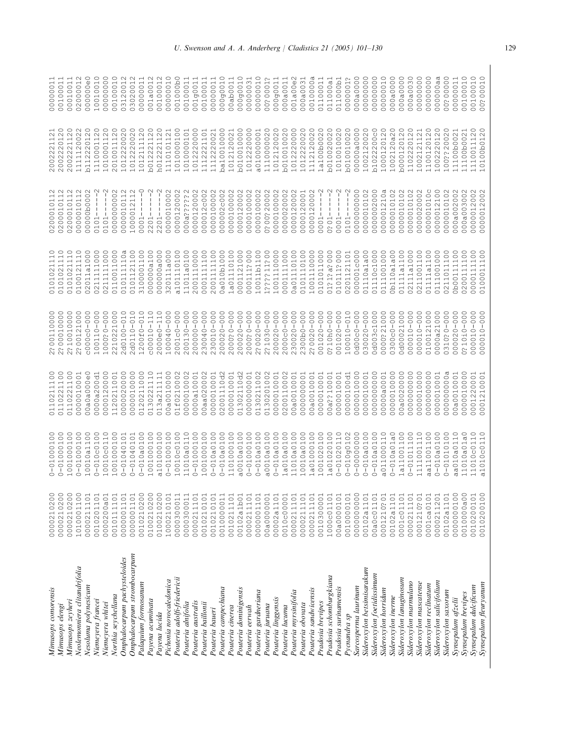| Mimusops comorensis          | 00000210200 | 0-010001000    | 0110211100    | 22001100000     | 0101021110  | 0200010112                  | 2002221121           | 000000011 |
|------------------------------|-------------|----------------|---------------|-----------------|-------------|-----------------------------|----------------------|-----------|
| Mimusops elengi              | 0000210200  | 0-01000100     | 0110221100    | 2200010000      | 0101021110  | 0200010112                  | 2002220120           | 00100011  |
| Mimusops zeyheri             | 0000210200  | 1001000100     | 0110221100    | 2?10010000      | 0101021110  | $\sim$<br>020001011         | $\circ$<br>200222112 | 00010011  |
| Neolemonniera clitandrifolia | 1010001100  | 0-01000100     | 0000010001    | 2?00121000      | 0100121110  | 0000001011                  | 111112002            | 02000012  |
| Nesoluma polynesicum         | 00000211101 | 10010a1100     | 000a0a000e0   | $000 - 000$     | 02011a1000  | 00000b0002                  | b112220120           | 000000000 |
| Niemeyera francei            | 0010201101  | $0 - 01000100$ | 0000a200d1    | 100110-000      | 0211111000  | $0101----$                  | 1110001120           | 10010010  |
| Niemeyera whitei             | 00000200a01 | 10010c011      | 0000120000    | 100020-0000     | 0211111000  | $0101 - -$                  | 1010001120           | 00000000  |
| Northia seychellana          | 0010111101  | 1001000100     | 1120211001    | 2210221000      | 0110011000  | 0000000002                  | $\circ$<br>201001112 | 00100010  |
| Omphalocarpum pachysteloides | 00000001101 | $0 - 01040101$ | 0000020000    | 2d0100-010      | 010111110a  | 000001011                   | 1012220020           | 03120012  |
| Omphalocarpum strombocarpum  | 00000001101 | $0 - 01040101$ | 0000010000    | 2d0110-010      | 0101121100  | 100001211                   | 1012220020           | 03020012  |
| Palaquium formosanum         | 0010210200  | $0 - 010a010$  | 0120211000    | 1200f0-010      | 3100001100  | $\frac{1}{1}$<br>$0001 - -$ | 1012111120           | 000000011 |
| Payena acuminata             | 0100210200  | 1001000100     | 0130221110    | $0000010 - 110$ | 0000000a100 | $2201 -$                    | b012221120           | 001a0012  |
| Payena lucida                | 0100210200  | a101000100     | 013a211111    | $2000e0 - 110$  | 00000000000 | $2201 - -$                  | h012221120           | 00100012  |
| Pichonia novocaledonica      | 1000210101  | $0 - 01000100$ | 0000100000    | 100040-0000     | 320111a000  | 0000010002                  | 1110101121           | 00000010  |
| Pouteria adolfi-friedericii  | 0000300011  | 10010c0100     | 01f0210002    | 2001c0-000      | a101110100  | 0000120002                  | 1010000100           | 001000b0  |
| Pouteria alnifolia           | 0000300011  | 11010a0110     | 0000010002    | 200130-000      | 11011a0100  | 000a22222                   | 1010000101           | 00100011  |
| Pouteria australis           | 0000211101  | 0-010001000    | 0000a10001    | 200000-000      | 2001110000  | 0000120002                  | 1012220000           | 001g0011  |
| Pouteria baillonii           | 0010210101  | 1001000100     | 00aa020002    | 230040-000      | 0001111100  | 000012c002                  | 1112221101           | 00100011  |
| Pouteria baueri              | 0010210101  | $0 - 010a010$  | 0000010001    | 230010-000      | 2001111100  | 0000100002                  | 1112220021           | 00000011  |
| Pouteria campechiana         | 0010000011  | $0 - 010a0100$ | 02001110d2    | 200020-000      | 0a010b1000  | 0000002c002                 | ba10010000           | 00090010  |
| Pouteria cinerea             | 0010211101  | 1101000100     | 0000010001    | 2000?0-000      | 1a01110100  | 0000100002                  | 1012120021           | 00ab0011  |
| Pouteria dominigensis        | 00102a1b01  | a0010a0100     | 01302110d2    | 200020-000      | 0001121000  | 0000120002                  | b010010000           | 000090010 |
| Pouteria eerwah              | 0000211101  | 0-0100010      | 00000000000   | 2000?0-000      | 0001112000  | 0000100002                  | 1012220000           | 00000031  |
| Pouteria gardneriana         | 00000001101 | $0 - 010a0100$ | 0130211002    | 2?0020-000      | 10011b1100  | 0000100002                  | a010000001           | 00000010  |
| Pouteria juruana             | 00a0000001  | a0010a0100     | 0130201002    | 221030-0000     | 1333211300  | 0200220002                  | 1110000020           | 200200013 |
| Pouteria linggensis          | 00002a1101  | $0 - 010a0100$ | 0000010001    | 200020-000      | 1001110000  | 0000100002                  | 1012120020           | 000q0011  |
| Pouteria lucuma              | 0010c00001  | 1a010a0100     | 0200110002    | 2000000000      | 0001111000  | 0000020002                  | b010010020           | 000a0011  |
| Pouteria myrsinifolia        | 0000211101  | 11010a0100     | 00a0010001    | 230020-000      | 0a01110100  | 0000120002                  | 1012220000           | 001a00e2  |
| Pouteria obovata             | 0000211101  | 10010a0100     | 00000000001   | 2300b0-000      | 0101110100  | 0000120001                  | 1012220020           | 000a0031  |
| Pouteria sandwicensis        | 0000211101  | 1a01000100     | 000100010001  | 220020-000      | 1001110000  | 0000120002                  | 1112120020           | 00000100  |
| Pradosia brevipes            | 0010300001  | 1001020100     | 0000010001    | 000-0201000     | 0101011000  | $\frac{1}{1}$<br>0001       | 1a100b0020           | 01100011  |
| Pradosia schomburgkiana      | 1000c01101  | 1a01020100     | 000132210001  | 000-0401 20     | 01212a2000  | $0:01--$                    | b010020020           | 011000a1  |
| Pradosia surinamensis        | 00a0000101  | $0 - 01020110$ | 0000010001    | 000-0201000     | 0101111?000 | $0001 - -$                  | 1010010020           | 011000b1  |
| Pycnandra sp                 | 0010000101  | $0 - 010q0102$ | 00000100d1    | 100010-010      | 0201121101  | $0101----2$                 | 0010010020           | 0000001?  |
| Sarcosperma laurinum         | 00000000000 | 0-000000000    | 0000010000    | 000-000000      | 0000001c000 | 00000000000                 | 00000a00000          | 000a0000  |
| Sideroxylon betsinisarakum   | 00102a1101  | $0 - 010a0100$ | 0000010001    | 030020-000      | 01110a1a00  | 0000010102                  | 1002120020           | 00000000  |
| Sideroxylon foetidissimum    | 00a0c01101  | $0 - 010a0100$ | 00000000000   | 0d003c1000      | 011110c1000 | 00000002000                 | b1022200c0           | 000000000 |
| Sideroxylon horridum         | 0001210?01  | a011000110     | 00000a0001    | 0000221000      | 01111001000 | 000001210a                  | 1000120120           | 00000010  |
| Sideroxylon inerme           | 00102a1101  | $0 - 010a01a0$ | 0000010000    | 0300c0-000      | 0b110a1a00  | 0000010102                  | 1002120a20           | 000a0000  |
| Sideroxylon lanuginosum      | 0001c01101  | 1a11001100     | 0000200000    | 0d00021000      | 01111a1100  | 0000010102                  | b000120120           | 000aa0000 |
| Sideroxylon marmulano        | 0000211101  | $0 - 01011100$ | 0000000000    | 000010-000      | 02111a1000  | 0000010102                  | 1102220120           | 000a0030  |
| Sideroxylon mascatense       | 0001210?01  | 1111001110     | 0000010000    | 0000100000      | 0211001100  | 0000020002                  | 1002121121           | 00000000  |
| Sideroxylon reclinatum       | 0001ca0101  | aa11001100     | 0000000000    | 0100121000      | 011111a1100 | 000001010c                  | 1100120120           | 000000000 |
| Sideroxylon salicifolium     | 0000211201  | $0 - 010a0100$ | 0000010001    | 0000a21000      | 0111001000  | 00000012100                 | 1002220120           | 000000аа  |
| Sideroxylon saxorum          | 00102a1101  | 0-01010100     | 0000000000    | 0310?0-0000     | 0211011100  | 0000010102                  | 100??20020           | 000000300 |
| Synsepalum afzelii           | 00000000100 | aa010a0110     | 0000100010001 | 00000200000     | 0b00111100  | 000a002002                  | 11100b0021           | 100000011 |
| Synsepalum brevipes          | 0010000a00  | 11010a01a0     | 0000010000    | 0210i0-000      | 0200111100  | 000a003002                  | 11100b0021           | 00000000  |
| Synsepalum dulcificum        | 0010200101  | 11010c0110     | 0001220001    | 000-010000      | 0000111100  | 0000012002                  | 1110011120           | 00100010  |
| Synsepalum fleuryanum        | 0010200100  | a1010c0110     | 0001210001    | 0000100000      | 0100011100  | 0000012002                  | 10100b0120           | 00200010  |
|                              |             |                |               |                 |             |                             |                      |           |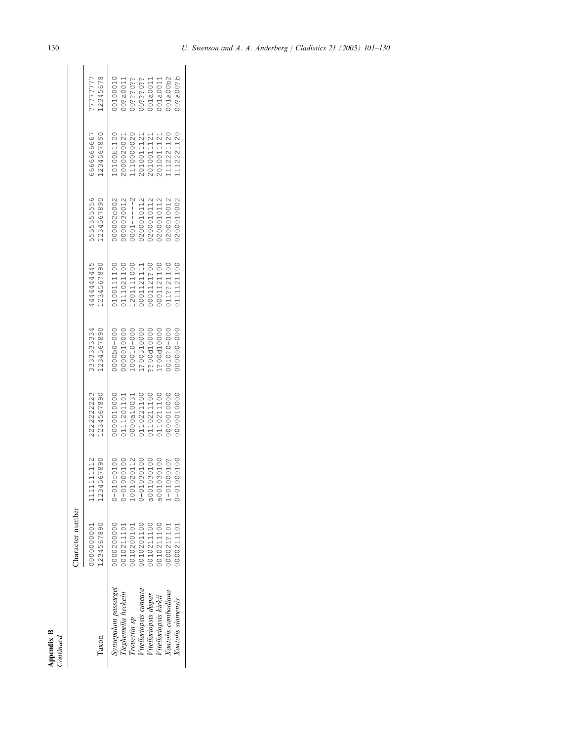| ÷<br>- 1 |
|----------|
|          |

|                                              | Character number          |                                     |                          |                           |                          |                          |                          |                      |
|----------------------------------------------|---------------------------|-------------------------------------|--------------------------|---------------------------|--------------------------|--------------------------|--------------------------|----------------------|
| Taxon                                        | 10000000001<br>1234567890 | 1234567890<br>.1111111112           | 2222222223<br>1234567890 | 3333333334<br>1234567890  | 4444444445<br>1234567890 | 5555555556<br>1234567890 | 666666667<br>1234567890  | 12345678<br>77777777 |
| synsepalum passargei<br>Tieghemella heckelii | 0002200000<br>0010211101  | $0 - 01000100$<br>1000100<br>o<br>C | 0000100000<br>1111201101 | 00000000000<br>0000010000 | 0100111100<br>0111021100 | 000002c002<br>0000030012 | L0100b1120<br>2000020021 | 00100010<br>02a0011  |
| Trouettia sp                                 | 1010200101                | 1001020112                          | 0000a10031               | 100010-000                | 1201111000               | $001----2$               | 110000020                | 2033303              |
| /itellariopsis cuneata                       | 0010201100                | 001030100                           | 1110221100               | 1200310000                | 00011211111              | 02000010112              | 2010011121               | 2033303              |
| Vitellariopsis dispar                        | 0010211100                | a001030100                          | 0110211100               | 00001P0033                | 001121200                | 0200010112               | 2010011122               | 001a0011             |
| /itellariopsis kirkii                        | 0010211100                | 1030100                             | 1110211100               | 0000100001                | 001121100                | 0200010112               | 2010011121               | 01a0011              |
| Xantolis cambodiana                          | 1000212101                | 1000102<br>ĭ                        | 00000100000              | 000-02 0000               | 1112221100               | 0200010012               | 112221120                | 001a00b2             |
| <b>Yantolis</b> siamensis                    | 0000211101                | 1000100                             | 0000010000               | 00000000000               | 1111121100               | 000110002                | 112221120                | 0?a00?b              |
|                                              |                           |                                     |                          |                           |                          |                          |                          |                      |
|                                              |                           |                                     |                          |                           |                          |                          |                          |                      |